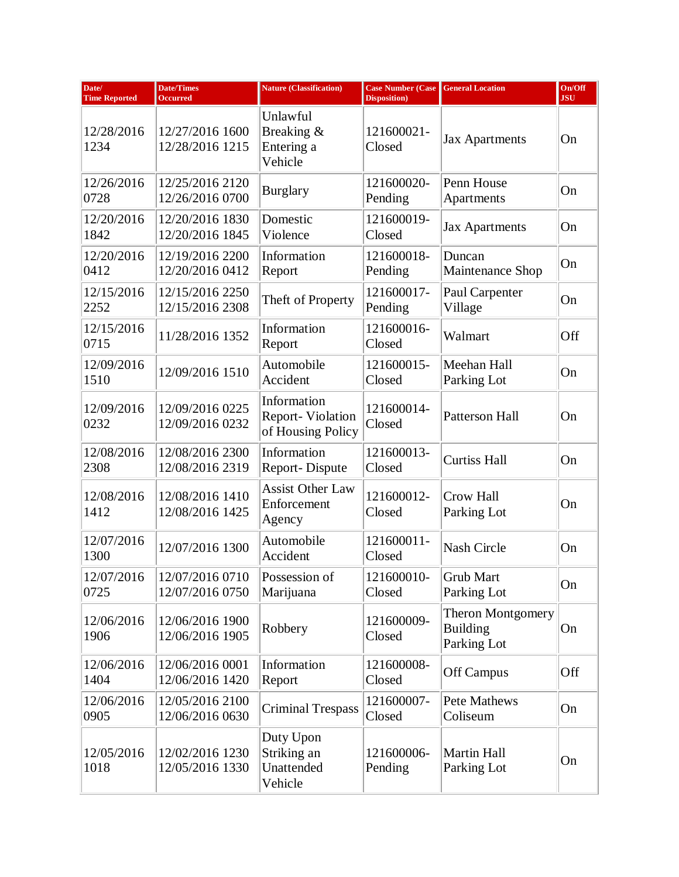| Date/<br><b>Time Reported</b> | <b>Date/Times</b><br><b>Occurred</b> | <b>Nature (Classification)</b>                              | <b>Case Number (Case</b><br><b>Disposition</b> ) | <b>General Location</b>                                    | On/Off<br><b>JSU</b> |
|-------------------------------|--------------------------------------|-------------------------------------------------------------|--------------------------------------------------|------------------------------------------------------------|----------------------|
| 12/28/2016<br>1234            | 12/27/2016 1600<br>12/28/2016 1215   | Unlawful<br>Breaking &<br>Entering a<br>Vehicle             | 121600021-<br>Closed                             | <b>Jax Apartments</b>                                      | On                   |
| 12/26/2016<br>0728            | 12/25/2016 2120<br>12/26/2016 0700   | <b>Burglary</b>                                             | 121600020-<br>Pending                            | Penn House<br>Apartments                                   | On                   |
| 12/20/2016<br>1842            | 12/20/2016 1830<br>12/20/2016 1845   | Domestic<br>Violence                                        | 121600019-<br>Closed                             | <b>Jax Apartments</b>                                      | On                   |
| 12/20/2016<br>0412            | 12/19/2016 2200<br>12/20/2016 0412   | Information<br>Report                                       | 121600018-<br>Pending                            | Duncan<br>Maintenance Shop                                 | On                   |
| 12/15/2016<br>2252            | 12/15/2016 2250<br>12/15/2016 2308   | Theft of Property                                           | 121600017-<br>Pending                            | Paul Carpenter<br>Village                                  | On                   |
| 12/15/2016<br>0715            | 11/28/2016 1352                      | Information<br>Report                                       | 121600016-<br>Closed                             | Walmart                                                    | Off                  |
| 12/09/2016<br>1510            | 12/09/2016 1510                      | Automobile<br>Accident                                      | 121600015-<br>Closed                             | Meehan Hall<br>Parking Lot                                 | On                   |
| 12/09/2016<br>0232            | 12/09/2016 0225<br>12/09/2016 0232   | Information<br><b>Report-Violation</b><br>of Housing Policy | 121600014-<br>Closed                             | Patterson Hall                                             | On                   |
| 12/08/2016<br>2308            | 12/08/2016 2300<br>12/08/2016 2319   | Information<br>Report-Dispute                               | 121600013-<br>Closed                             | <b>Curtiss Hall</b>                                        | On                   |
| 12/08/2016<br>1412            | 12/08/2016 1410<br>12/08/2016 1425   | <b>Assist Other Law</b><br>Enforcement<br>Agency            | 121600012-<br>Closed                             | Crow Hall<br>Parking Lot                                   | On                   |
| 12/07/2016<br>1300            | 12/07/2016 1300                      | Automobile<br>Accident                                      | 121600011-<br>Closed                             | <b>Nash Circle</b>                                         | On                   |
| 12/07/2016<br>0725            | 12/07/2016 0710<br>12/07/2016 0750   | Possession of<br>Marijuana                                  | 121600010-<br>Closed                             | Grub Mart<br>Parking Lot                                   | On                   |
| 12/06/2016<br>1906            | 12/06/2016 1900<br>12/06/2016 1905   | Robbery                                                     | 121600009-<br>Closed                             | <b>Theron Montgomery</b><br><b>Building</b><br>Parking Lot | On                   |
| 12/06/2016<br>1404            | 12/06/2016 0001<br>12/06/2016 1420   | Information<br>Report                                       | 121600008-<br>Closed                             | Off Campus                                                 | Off                  |
| 12/06/2016<br>0905            | 12/05/2016 2100<br>12/06/2016 0630   | <b>Criminal Trespass</b>                                    | 121600007-<br>Closed                             | Pete Mathews<br>Coliseum                                   | On                   |
| 12/05/2016<br>1018            | 12/02/2016 1230<br>12/05/2016 1330   | Duty Upon<br>Striking an<br>Unattended<br>Vehicle           | 121600006-<br>Pending                            | <b>Martin Hall</b><br>Parking Lot                          | On                   |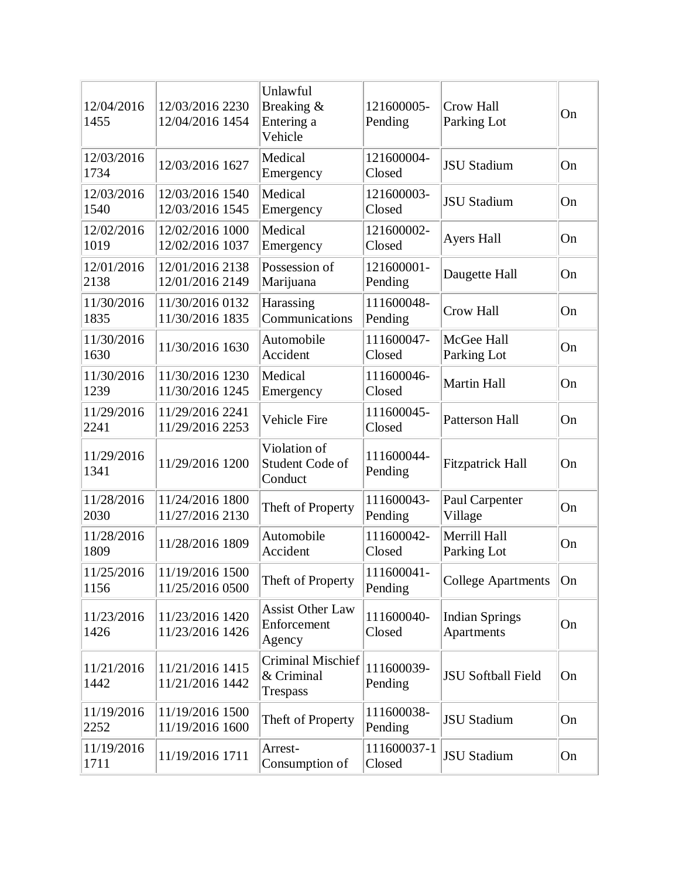| 12/04/2016<br>1455 | 12/03/2016 2230<br>12/04/2016 1454 | Unlawful<br>Breaking &<br>Entering a<br>Vehicle    | 121600005-<br>Pending | Crow Hall<br>Parking Lot            | On |
|--------------------|------------------------------------|----------------------------------------------------|-----------------------|-------------------------------------|----|
| 12/03/2016<br>1734 | 12/03/2016 1627                    | Medical<br>Emergency                               | 121600004-<br>Closed  | <b>JSU Stadium</b>                  | On |
| 12/03/2016<br>1540 | 12/03/2016 1540<br>12/03/2016 1545 | Medical<br>Emergency                               | 121600003-<br>Closed  | <b>JSU Stadium</b>                  | On |
| 12/02/2016<br>1019 | 12/02/2016 1000<br>12/02/2016 1037 | Medical<br>Emergency                               | 121600002-<br>Closed  | <b>Ayers Hall</b>                   | On |
| 12/01/2016<br>2138 | 12/01/2016 2138<br>12/01/2016 2149 | Possession of<br>Marijuana                         | 121600001-<br>Pending | Daugette Hall                       | On |
| 11/30/2016<br>1835 | 11/30/2016 0132<br>11/30/2016 1835 | Harassing<br>Communications                        | 111600048-<br>Pending | Crow Hall                           | On |
| 11/30/2016<br>1630 | 11/30/2016 1630                    | Automobile<br>Accident                             | 111600047-<br>Closed  | McGee Hall<br>Parking Lot           | On |
| 11/30/2016<br>1239 | 11/30/2016 1230<br>11/30/2016 1245 | Medical<br>Emergency                               | 111600046-<br>Closed  | Martin Hall                         | On |
| 11/29/2016<br>2241 | 11/29/2016 2241<br>11/29/2016 2253 | Vehicle Fire                                       | 111600045-<br>Closed  | Patterson Hall                      | On |
| 11/29/2016<br>1341 | 11/29/2016 1200                    | Violation of<br>Student Code of<br>Conduct         | 111600044-<br>Pending | <b>Fitzpatrick Hall</b>             | On |
| 11/28/2016<br>2030 | 11/24/2016 1800<br>11/27/2016 2130 | Theft of Property                                  | 111600043-<br>Pending | Paul Carpenter<br>Village           | On |
| 11/28/2016<br>1809 | 11/28/2016 1809                    | Automobile<br>Accident                             | 111600042-<br>Closed  | Merrill Hall<br>Parking Lot         | On |
| 11/25/2016<br>1156 | 11/19/2016 1500<br>11/25/2016 0500 | Theft of Property                                  | 111600041-<br>Pending | <b>College Apartments</b>           | On |
| 11/23/2016<br>1426 | 11/23/2016 1420<br>11/23/2016 1426 | <b>Assist Other Law</b><br>Enforcement<br>Agency   | 111600040-<br>Closed  | <b>Indian Springs</b><br>Apartments | On |
| 11/21/2016<br>1442 | 11/21/2016 1415<br>11/21/2016 1442 | Criminal Mischief<br>& Criminal<br><b>Trespass</b> | 111600039-<br>Pending | JSU Softball Field                  | On |
| 11/19/2016<br>2252 | 11/19/2016 1500<br>11/19/2016 1600 | Theft of Property                                  | 111600038-<br>Pending | <b>JSU</b> Stadium                  | On |
| 11/19/2016<br>1711 | 11/19/2016 1711                    | Arrest-<br>Consumption of                          | 111600037-1<br>Closed | <b>JSU</b> Stadium                  | On |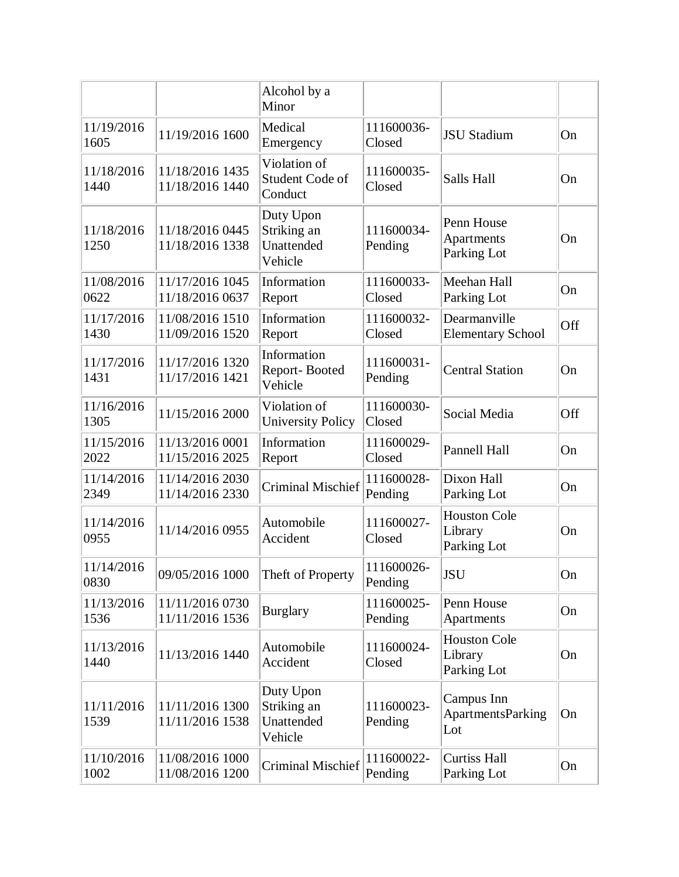|                    |                                    | Alcohol by a<br>Minor                             |                       |                                               |     |
|--------------------|------------------------------------|---------------------------------------------------|-----------------------|-----------------------------------------------|-----|
| 11/19/2016<br>1605 | 11/19/2016 1600                    | Medical<br>Emergency                              | 111600036-<br>Closed  | <b>JSU Stadium</b>                            | On  |
| 11/18/2016<br>1440 | 11/18/2016 1435<br>11/18/2016 1440 | Violation of<br>Student Code of<br>Conduct        | 111600035-<br>Closed  | Salls Hall                                    | On  |
| 11/18/2016<br>1250 | 11/18/2016 0445<br>11/18/2016 1338 | Duty Upon<br>Striking an<br>Unattended<br>Vehicle | 111600034-<br>Pending | Penn House<br>Apartments<br>Parking Lot       | On  |
| 11/08/2016<br>0622 | 11/17/2016 1045<br>11/18/2016 0637 | Information<br>Report                             | 111600033-<br>Closed  | Meehan Hall<br>Parking Lot                    | On  |
| 11/17/2016<br>1430 | 11/08/2016 1510<br>11/09/2016 1520 | Information<br>Report                             | 111600032-<br>Closed  | Dearmanville<br><b>Elementary School</b>      | Off |
| 11/17/2016<br>1431 | 11/17/2016 1320<br>11/17/2016 1421 | Information<br>Report-Booted<br>Vehicle           | 111600031-<br>Pending | <b>Central Station</b>                        | On  |
| 11/16/2016<br>1305 | 11/15/2016 2000                    | Violation of<br><b>University Policy</b>          | 111600030-<br>Closed  | Social Media                                  | Off |
| 11/15/2016<br>2022 | 11/13/2016 0001<br>11/15/2016 2025 | Information<br>Report                             | 111600029-<br>Closed  | Pannell Hall                                  | On  |
| 11/14/2016<br>2349 | 11/14/2016 2030<br>11/14/2016 2330 | <b>Criminal Mischief</b>                          | 111600028-<br>Pending | Dixon Hall<br>Parking Lot                     | On  |
| 11/14/2016<br>0955 | 11/14/2016 0955                    | Automobile<br>Accident                            | 111600027-<br>Closed  | <b>Houston Cole</b><br>Library<br>Parking Lot | On  |
| 11/14/2016<br>0830 | 09/05/2016 1000                    | Theft of Property                                 | 111600026-<br>Pending | <b>JSU</b>                                    | On  |
| 11/13/2016<br>1536 | 11/11/2016 0730<br>11/11/2016 1536 | <b>Burglary</b>                                   | 111600025-<br>Pending | Penn House<br>Apartments                      | On  |
| 11/13/2016<br>1440 | 11/13/2016 1440                    | Automobile<br>Accident                            | 111600024-<br>Closed  | <b>Houston Cole</b><br>Library<br>Parking Lot | On  |
| 11/11/2016<br>1539 | 11/11/2016 1300<br>11/11/2016 1538 | Duty Upon<br>Striking an<br>Unattended<br>Vehicle | 111600023-<br>Pending | Campus Inn<br><b>ApartmentsParking</b><br>Lot | On  |
| 11/10/2016<br>1002 | 11/08/2016 1000<br>11/08/2016 1200 | Criminal Mischief                                 | 111600022-<br>Pending | <b>Curtiss Hall</b><br>Parking Lot            | On  |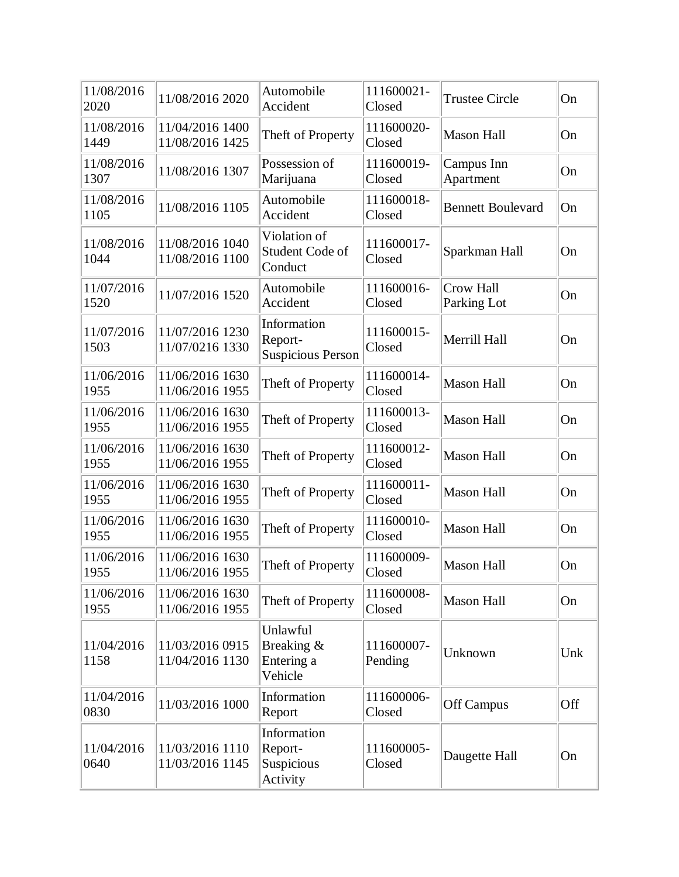| 11/08/2016<br>2020 | 11/08/2016 2020                    | Automobile<br>Accident                             | 111600021-<br>Closed  | <b>Trustee Circle</b>    | On  |
|--------------------|------------------------------------|----------------------------------------------------|-----------------------|--------------------------|-----|
| 11/08/2016<br>1449 | 11/04/2016 1400<br>11/08/2016 1425 | Theft of Property                                  | 111600020-<br>Closed  | Mason Hall               | On  |
| 11/08/2016<br>1307 | 11/08/2016 1307                    | Possession of<br>Marijuana                         | 111600019-<br>Closed  | Campus Inn<br>Apartment  | On  |
| 11/08/2016<br>1105 | 11/08/2016 1105                    | Automobile<br>Accident                             | 111600018-<br>Closed  | <b>Bennett Boulevard</b> | On  |
| 11/08/2016<br>1044 | 11/08/2016 1040<br>11/08/2016 1100 | Violation of<br>Student Code of<br>Conduct         | 111600017-<br>Closed  | Sparkman Hall            | On  |
| 11/07/2016<br>1520 | 11/07/2016 1520                    | Automobile<br>Accident                             | 111600016-<br>Closed  | Crow Hall<br>Parking Lot | On  |
| 11/07/2016<br>1503 | 11/07/2016 1230<br>11/07/0216 1330 | Information<br>Report-<br><b>Suspicious Person</b> | 111600015-<br>Closed  | Merrill Hall             | On  |
| 11/06/2016<br>1955 | 11/06/2016 1630<br>11/06/2016 1955 | Theft of Property                                  | 111600014-<br>Closed  | Mason Hall               | On  |
| 11/06/2016<br>1955 | 11/06/2016 1630<br>11/06/2016 1955 | Theft of Property                                  | 111600013-<br>Closed  | <b>Mason Hall</b>        | On  |
| 11/06/2016<br>1955 | 11/06/2016 1630<br>11/06/2016 1955 | Theft of Property                                  | 111600012-<br>Closed  | <b>Mason Hall</b>        | On  |
| 11/06/2016<br>1955 | 11/06/2016 1630<br>11/06/2016 1955 | Theft of Property                                  | 111600011-<br>Closed  | <b>Mason Hall</b>        | On  |
| 11/06/2016<br>1955 | 11/06/2016 1630<br>11/06/2016 1955 | Theft of Property                                  | 111600010-<br>Closed  | <b>Mason Hall</b>        | On  |
| 11/06/2016<br>1955 | 11/06/2016 1630<br>11/06/2016 1955 | Theft of Property                                  | 111600009-<br>Closed  | <b>Mason Hall</b>        | On  |
| 11/06/2016<br>1955 | 11/06/2016 1630<br>11/06/2016 1955 | Theft of Property                                  | 111600008-<br>Closed  | <b>Mason Hall</b>        | On  |
| 11/04/2016<br>1158 | 11/03/2016 0915<br>11/04/2016 1130 | Unlawful<br>Breaking &<br>Entering a<br>Vehicle    | 111600007-<br>Pending | Unknown                  | Unk |
| 11/04/2016<br>0830 | 11/03/2016 1000                    | Information<br>Report                              | 111600006-<br>Closed  | Off Campus               | Off |
| 11/04/2016<br>0640 | 11/03/2016 1110<br>11/03/2016 1145 | Information<br>Report-<br>Suspicious<br>Activity   | 111600005-<br>Closed  | Daugette Hall            | On  |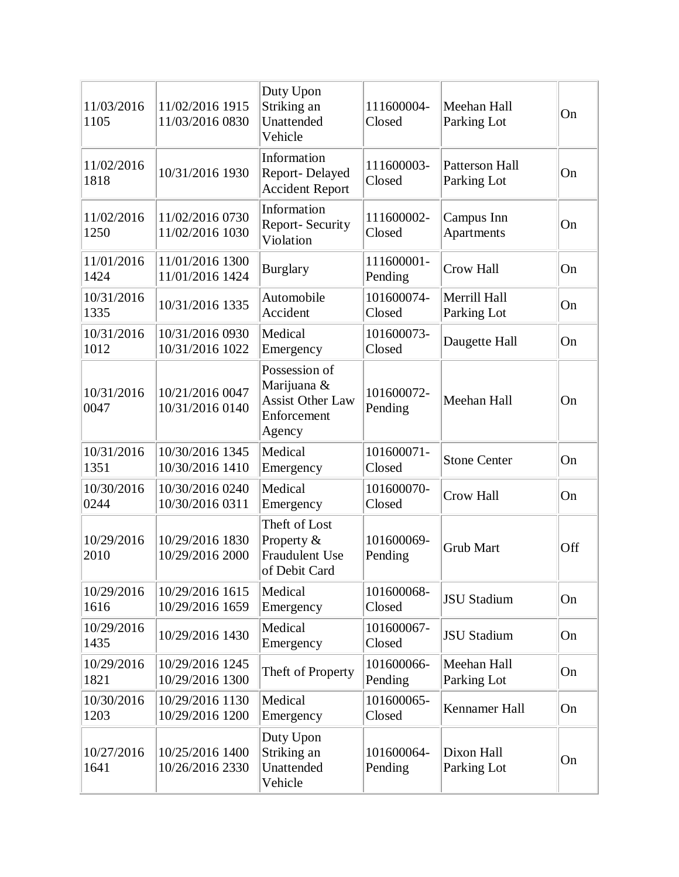| 11/03/2016<br>1105 | 11/02/2016 1915<br>11/03/2016 0830 | Duty Upon<br>Striking an<br>Unattended<br>Vehicle                                | 111600004-<br>Closed  | Meehan Hall<br>Parking Lot           | On  |
|--------------------|------------------------------------|----------------------------------------------------------------------------------|-----------------------|--------------------------------------|-----|
| 11/02/2016<br>1818 | 10/31/2016 1930                    | Information<br>Report-Delayed<br><b>Accident Report</b>                          | 111600003-<br>Closed  | <b>Patterson Hall</b><br>Parking Lot | On  |
| 11/02/2016<br>1250 | 11/02/2016 0730<br>11/02/2016 1030 | Information<br>Report-Security<br>Violation                                      | 111600002-<br>Closed  | Campus Inn<br>Apartments             | On  |
| 11/01/2016<br>1424 | 11/01/2016 1300<br>11/01/2016 1424 | <b>Burglary</b>                                                                  | 111600001-<br>Pending | Crow Hall                            | On  |
| 10/31/2016<br>1335 | 10/31/2016 1335                    | Automobile<br>Accident                                                           | 101600074-<br>Closed  | Merrill Hall<br>Parking Lot          | On  |
| 10/31/2016<br>1012 | 10/31/2016 0930<br>10/31/2016 1022 | Medical<br>Emergency                                                             | 101600073-<br>Closed  | Daugette Hall                        | On  |
| 10/31/2016<br>0047 | 10/21/2016 0047<br>10/31/2016 0140 | Possession of<br>Marijuana &<br><b>Assist Other Law</b><br>Enforcement<br>Agency | 101600072-<br>Pending | Meehan Hall                          | On  |
| 10/31/2016<br>1351 | 10/30/2016 1345<br>10/30/2016 1410 | Medical<br>Emergency                                                             | 101600071-<br>Closed  | <b>Stone Center</b>                  | On  |
| 10/30/2016<br>0244 | 10/30/2016 0240<br>10/30/2016 0311 | Medical<br>Emergency                                                             | 101600070-<br>Closed  | Crow Hall                            | On  |
| 10/29/2016<br>2010 | 10/29/2016 1830<br>10/29/2016 2000 | Theft of Lost<br>Property &<br><b>Fraudulent Use</b><br>of Debit Card            | 101600069-<br>Pending | <b>Grub Mart</b>                     | Off |
| 10/29/2016<br>1616 | 10/29/2016 1615<br>10/29/2016 1659 | Medical<br>Emergency                                                             | 101600068-<br>Closed  | <b>JSU Stadium</b>                   | On  |
| 10/29/2016<br>1435 | 10/29/2016 1430                    | Medical<br>Emergency                                                             | 101600067-<br>Closed  | <b>JSU</b> Stadium                   | On  |
| 10/29/2016<br>1821 | 10/29/2016 1245<br>10/29/2016 1300 | Theft of Property                                                                | 101600066-<br>Pending | Meehan Hall<br>Parking Lot           | On  |
| 10/30/2016<br>1203 | 10/29/2016 1130<br>10/29/2016 1200 | Medical<br>Emergency                                                             | 101600065-<br>Closed  | Kennamer Hall                        | On  |
| 10/27/2016<br>1641 | 10/25/2016 1400<br>10/26/2016 2330 | Duty Upon<br>Striking an<br>Unattended<br>Vehicle                                | 101600064-<br>Pending | Dixon Hall<br>Parking Lot            | On  |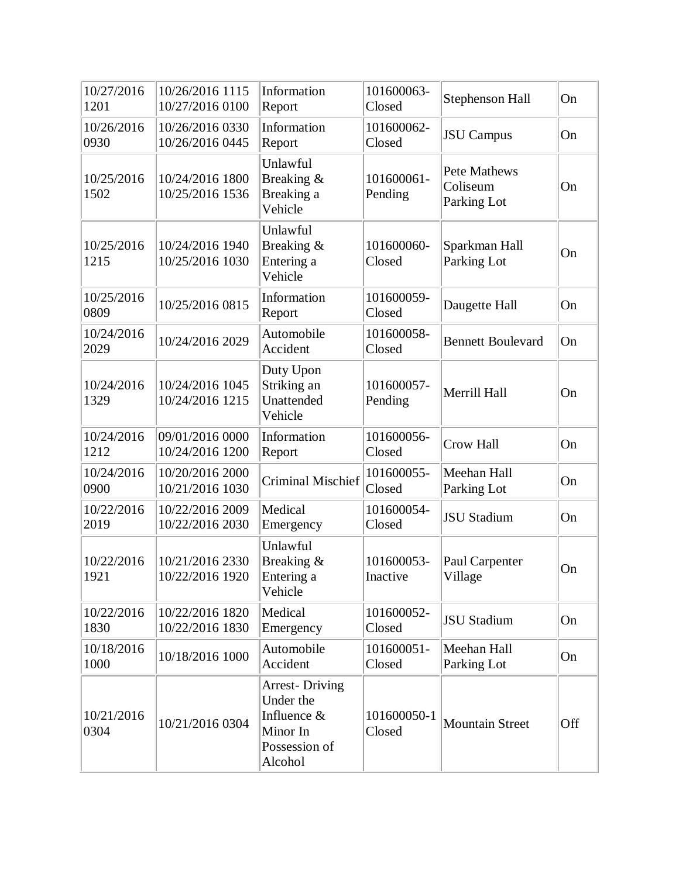| 10/27/2016<br>1201 | 10/26/2016 1115<br>10/27/2016 0100 | Information<br>Report                                                                     | 101600063-<br>Closed   | Stephenson Hall                         | On  |
|--------------------|------------------------------------|-------------------------------------------------------------------------------------------|------------------------|-----------------------------------------|-----|
| 10/26/2016<br>0930 | 10/26/2016 0330<br>10/26/2016 0445 | Information<br>Report                                                                     | 101600062-<br>Closed   | <b>JSU</b> Campus                       | On  |
| 10/25/2016<br>1502 | 10/24/2016 1800<br>10/25/2016 1536 | Unlawful<br>Breaking &<br>Breaking a<br>Vehicle                                           | 101600061-<br>Pending  | Pete Mathews<br>Coliseum<br>Parking Lot | On  |
| 10/25/2016<br>1215 | 10/24/2016 1940<br>10/25/2016 1030 | Unlawful<br>Breaking &<br>Entering a<br>Vehicle                                           | 101600060-<br>Closed   | Sparkman Hall<br>Parking Lot            | On  |
| 10/25/2016<br>0809 | 10/25/2016 0815                    | Information<br>Report                                                                     | 101600059-<br>Closed   | Daugette Hall                           | On  |
| 10/24/2016<br>2029 | 10/24/2016 2029                    | Automobile<br>Accident                                                                    | 101600058-<br>Closed   | <b>Bennett Boulevard</b>                | On  |
| 10/24/2016<br>1329 | 10/24/2016 1045<br>10/24/2016 1215 | Duty Upon<br>Striking an<br>Unattended<br>Vehicle                                         | 101600057-<br>Pending  | Merrill Hall                            | On  |
| 10/24/2016<br>1212 | 09/01/2016 0000<br>10/24/2016 1200 | Information<br>Report                                                                     | 101600056-<br>Closed   | <b>Crow Hall</b>                        | On  |
| 10/24/2016<br>0900 | 10/20/2016 2000<br>10/21/2016 1030 | <b>Criminal Mischief</b>                                                                  | 101600055-<br>Closed   | Meehan Hall<br>Parking Lot              | On  |
| 10/22/2016<br>2019 | 10/22/2016 2009<br>10/22/2016 2030 | Medical<br>Emergency                                                                      | 101600054-<br>Closed   | <b>JSU Stadium</b>                      | On  |
| 10/22/2016<br>1921 | 10/21/2016 2330<br>10/22/2016 1920 | Unlawful<br>Breaking &<br>Entering a<br>Vehicle                                           | 101600053-<br>Inactive | Paul Carpenter<br>Village               | On  |
| 10/22/2016<br>1830 | 10/22/2016 1820<br>10/22/2016 1830 | Medical<br>Emergency                                                                      | 101600052-<br>Closed   | <b>JSU Stadium</b>                      | On  |
| 10/18/2016<br>1000 | 10/18/2016 1000                    | Automobile<br>Accident                                                                    | 101600051-<br>Closed   | Meehan Hall<br>Parking Lot              | On  |
| 10/21/2016<br>0304 | 10/21/2016 0304                    | <b>Arrest-Driving</b><br>Under the<br>Influence &<br>Minor In<br>Possession of<br>Alcohol | 101600050-1<br>Closed  | <b>Mountain Street</b>                  | Off |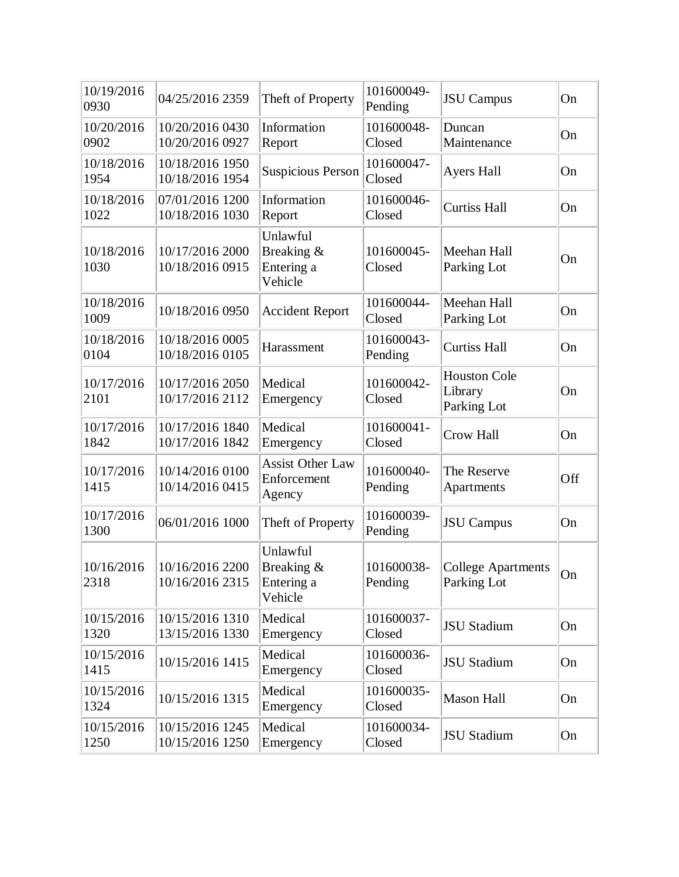| 10/19/2016<br>0930 | 04/25/2016 2359                    | Theft of Property                                | 101600049-<br>Pending | <b>JSU</b> Campus                             | On  |
|--------------------|------------------------------------|--------------------------------------------------|-----------------------|-----------------------------------------------|-----|
| 10/20/2016<br>0902 | 10/20/2016 0430<br>10/20/2016 0927 | Information<br>Report                            | 101600048-<br>Closed  | Duncan<br>Maintenance                         | On  |
| 10/18/2016<br>1954 | 10/18/2016 1950<br>10/18/2016 1954 | <b>Suspicious Person</b>                         | 101600047-<br>Closed  | <b>Ayers Hall</b>                             | On  |
| 10/18/2016<br>1022 | 07/01/2016 1200<br>10/18/2016 1030 | Information<br>Report                            | 101600046-<br>Closed  | <b>Curtiss Hall</b>                           | On  |
| 10/18/2016<br>1030 | 10/17/2016 2000<br>10/18/2016 0915 | Unlawful<br>Breaking &<br>Entering a<br>Vehicle  | 101600045-<br>Closed  | Meehan Hall<br>Parking Lot                    | On  |
| 10/18/2016<br>1009 | 10/18/2016 0950                    | <b>Accident Report</b>                           | 101600044-<br>Closed  | Meehan Hall<br>Parking Lot                    | On  |
| 10/18/2016<br>0104 | 10/18/2016 0005<br>10/18/2016 0105 | Harassment                                       | 101600043-<br>Pending | <b>Curtiss Hall</b>                           | On  |
| 10/17/2016<br>2101 | 10/17/2016 2050<br>10/17/2016 2112 | Medical<br>Emergency                             | 101600042-<br>Closed  | <b>Houston Cole</b><br>Library<br>Parking Lot | On  |
| 10/17/2016<br>1842 | 10/17/2016 1840<br>10/17/2016 1842 | Medical<br>Emergency                             | 101600041-<br>Closed  | Crow Hall                                     | On  |
| 10/17/2016<br>1415 | 10/14/2016 0100<br>10/14/2016 0415 | <b>Assist Other Law</b><br>Enforcement<br>Agency | 101600040-<br>Pending | The Reserve<br>Apartments                     | Off |
| 10/17/2016<br>1300 | 06/01/2016 1000                    | Theft of Property                                | 101600039-<br>Pending | <b>JSU</b> Campus                             | On  |
| 10/16/2016<br>2318 | 10/16/2016 2200<br>10/16/2016 2315 | Unlawful<br>Breaking &<br>Entering a<br>Vehicle  | 101600038-<br>Pending | <b>College Apartments</b><br>Parking Lot      | On  |
| 10/15/2016<br>1320 | 10/15/2016 1310<br>13/15/2016 1330 | Medical<br>Emergency                             | 101600037-<br>Closed  | <b>JSU Stadium</b>                            | On  |
| 10/15/2016<br>1415 | 10/15/2016 1415                    | Medical<br>Emergency                             | 101600036-<br>Closed  | <b>JSU</b> Stadium                            | On  |
| 10/15/2016<br>1324 | 10/15/2016 1315                    | Medical<br>Emergency                             | 101600035-<br>Closed  | <b>Mason Hall</b>                             | On  |
| 10/15/2016<br>1250 | 10/15/2016 1245<br>10/15/2016 1250 | Medical<br>Emergency                             | 101600034-<br>Closed  | <b>JSU Stadium</b>                            | On  |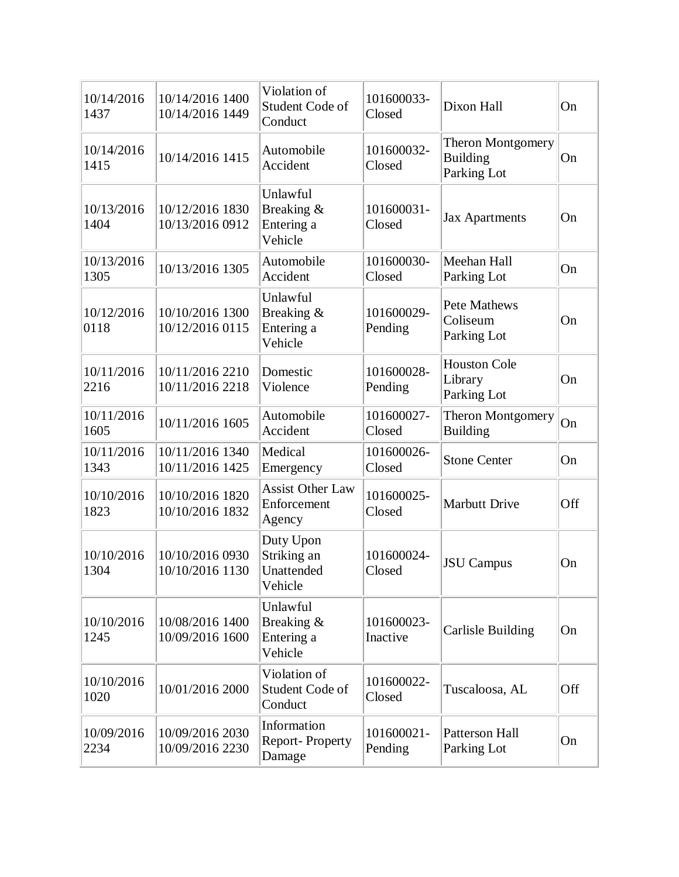| 10/14/2016<br>1437 | 10/14/2016 1400<br>10/14/2016 1449 | Violation of<br>Student Code of<br>Conduct        | 101600033-<br>Closed   | Dixon Hall                                                 | On  |
|--------------------|------------------------------------|---------------------------------------------------|------------------------|------------------------------------------------------------|-----|
| 10/14/2016<br>1415 | 10/14/2016 1415                    | Automobile<br>Accident                            | 101600032-<br>Closed   | <b>Theron Montgomery</b><br><b>Building</b><br>Parking Lot | On  |
| 10/13/2016<br>1404 | 10/12/2016 1830<br>10/13/2016 0912 | Unlawful<br>Breaking &<br>Entering a<br>Vehicle   | 101600031-<br>Closed   | <b>Jax Apartments</b>                                      | On  |
| 10/13/2016<br>1305 | 10/13/2016 1305                    | Automobile<br>Accident                            | 101600030-<br>Closed   | Meehan Hall<br>Parking Lot                                 | On  |
| 10/12/2016<br>0118 | 10/10/2016 1300<br>10/12/2016 0115 | Unlawful<br>Breaking &<br>Entering a<br>Vehicle   | 101600029-<br>Pending  | Pete Mathews<br>Coliseum<br>Parking Lot                    | On  |
| 10/11/2016<br>2216 | 10/11/2016 2210<br>10/11/2016 2218 | Domestic<br>Violence                              | 101600028-<br>Pending  | <b>Houston Cole</b><br>Library<br>Parking Lot              | On  |
| 10/11/2016<br>1605 | 10/11/2016 1605                    | Automobile<br>Accident                            | 101600027-<br>Closed   | Theron Montgomery<br><b>Building</b>                       | On  |
| 10/11/2016<br>1343 | 10/11/2016 1340<br>10/11/2016 1425 | Medical<br>Emergency                              | 101600026-<br>Closed   | <b>Stone Center</b>                                        | On  |
| 10/10/2016<br>1823 | 10/10/2016 1820<br>10/10/2016 1832 | <b>Assist Other Law</b><br>Enforcement<br>Agency  | 101600025-<br>Closed   | <b>Marbutt Drive</b>                                       | Off |
| 10/10/2016<br>1304 | 10/10/2016 0930<br>10/10/2016 1130 | Duty Upon<br>Striking an<br>Unattended<br>Vehicle | 101600024-<br>Closed   | <b>JSU</b> Campus                                          | On  |
| 10/10/2016<br>1245 | 10/08/2016 1400<br>10/09/2016 1600 | Unlawful<br>Breaking &<br>Entering a<br>Vehicle   | 101600023-<br>Inactive | Carlisle Building                                          | On  |
| 10/10/2016<br>1020 | 10/01/2016 2000                    | Violation of<br>Student Code of<br>Conduct        | 101600022-<br>Closed   | Tuscaloosa, AL                                             | Off |
| 10/09/2016<br>2234 | 10/09/2016 2030<br>10/09/2016 2230 | Information<br>Report-Property<br>Damage          | 101600021-<br>Pending  | Patterson Hall<br>Parking Lot                              | On  |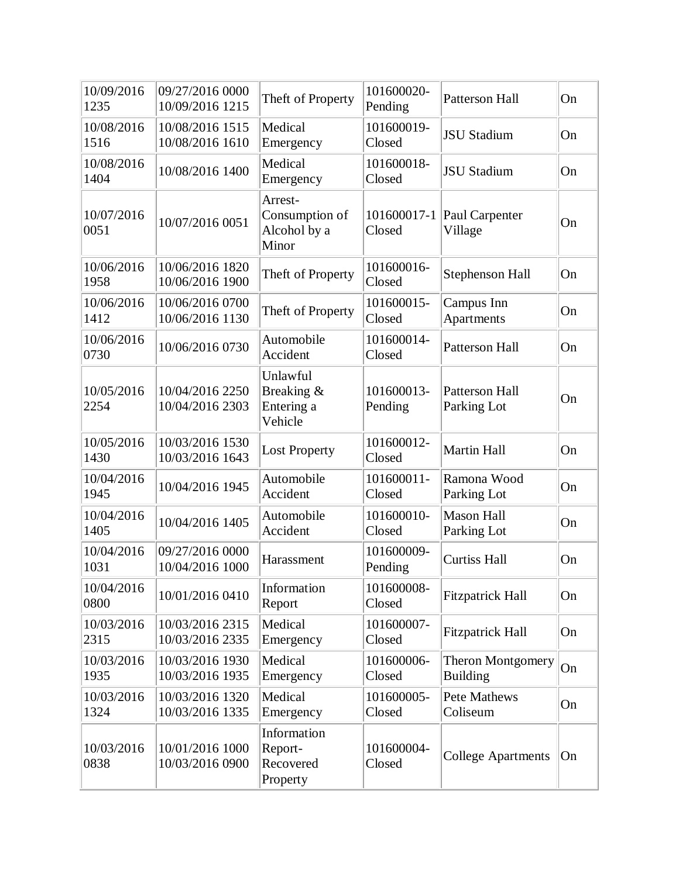| 10/09/2016<br>1235 | 09/27/2016 0000<br>10/09/2016 1215 | Theft of Property                                  | 101600020-<br>Pending | Patterson Hall                       | On |
|--------------------|------------------------------------|----------------------------------------------------|-----------------------|--------------------------------------|----|
| 10/08/2016<br>1516 | 10/08/2016 1515<br>10/08/2016 1610 | Medical<br>Emergency                               | 101600019-<br>Closed  | <b>JSU Stadium</b>                   | On |
| 10/08/2016<br>1404 | 10/08/2016 1400                    | Medical<br>Emergency                               | 101600018-<br>Closed  | <b>JSU Stadium</b>                   | On |
| 10/07/2016<br>0051 | 10/07/2016 0051                    | Arrest-<br>Consumption of<br>Alcohol by a<br>Minor | 101600017-1<br>Closed | Paul Carpenter<br>Village            | On |
| 10/06/2016<br>1958 | 10/06/2016 1820<br>10/06/2016 1900 | Theft of Property                                  | 101600016-<br>Closed  | Stephenson Hall                      | On |
| 10/06/2016<br>1412 | 10/06/2016 0700<br>10/06/2016 1130 | Theft of Property                                  | 101600015-<br>Closed  | Campus Inn<br>Apartments             | On |
| 10/06/2016<br>0730 | 10/06/2016 0730                    | Automobile<br>Accident                             | 101600014-<br>Closed  | <b>Patterson Hall</b>                | On |
| 10/05/2016<br>2254 | 10/04/2016 2250<br>10/04/2016 2303 | Unlawful<br>Breaking &<br>Entering a<br>Vehicle    | 101600013-<br>Pending | Patterson Hall<br>Parking Lot        | On |
| 10/05/2016<br>1430 | 10/03/2016 1530<br>10/03/2016 1643 | <b>Lost Property</b>                               | 101600012-<br>Closed  | <b>Martin Hall</b>                   | On |
| 10/04/2016<br>1945 | 10/04/2016 1945                    | Automobile<br>Accident                             | 101600011-<br>Closed  | Ramona Wood<br>Parking Lot           | On |
| 10/04/2016<br>1405 | 10/04/2016 1405                    | Automobile<br>Accident                             | 101600010-<br>Closed  | <b>Mason Hall</b><br>Parking Lot     | On |
| 10/04/2016<br>1031 | 09/27/2016 0000<br>10/04/2016 1000 | Harassment                                         | 101600009-<br>Pending | <b>Curtiss Hall</b>                  | On |
| 10/04/2016<br>0800 | 10/01/2016 0410                    | Information<br>Report                              | 101600008-<br>Closed  | <b>Fitzpatrick Hall</b>              | On |
| 10/03/2016<br>2315 | 10/03/2016 2315<br>10/03/2016 2335 | Medical<br>Emergency                               | 101600007-<br>Closed  | <b>Fitzpatrick Hall</b>              | On |
| 10/03/2016<br>1935 | 10/03/2016 1930<br>10/03/2016 1935 | Medical<br>Emergency                               | 101600006-<br>Closed  | Theron Montgomery<br><b>Building</b> | On |
| 10/03/2016<br>1324 | 10/03/2016 1320<br>10/03/2016 1335 | Medical<br>Emergency                               | 101600005-<br>Closed  | Pete Mathews<br>Coliseum             | On |
| 10/03/2016<br>0838 | 10/01/2016 1000<br>10/03/2016 0900 | Information<br>Report-<br>Recovered<br>Property    | 101600004-<br>Closed  | <b>College Apartments</b>            | On |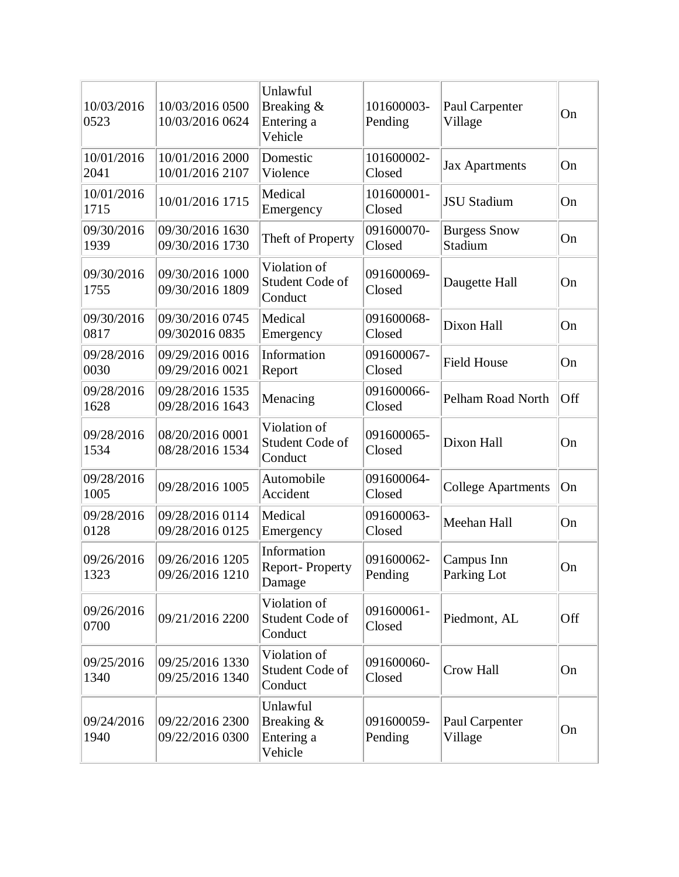| 10/03/2016<br>0523 | 10/03/2016 0500<br>10/03/2016 0624 | Unlawful<br>Breaking &<br>Entering a<br>Vehicle | 101600003-<br>Pending | Paul Carpenter<br>Village      | On  |
|--------------------|------------------------------------|-------------------------------------------------|-----------------------|--------------------------------|-----|
| 10/01/2016<br>2041 | 10/01/2016 2000<br>10/01/2016 2107 | Domestic<br>Violence                            | 101600002-<br>Closed  | <b>Jax Apartments</b>          | On  |
| 10/01/2016<br>1715 | 10/01/2016 1715                    | Medical<br>Emergency                            | 101600001-<br>Closed  | <b>JSU Stadium</b>             | On  |
| 09/30/2016<br>1939 | 09/30/2016 1630<br>09/30/2016 1730 | Theft of Property                               | 091600070-<br>Closed  | <b>Burgess Snow</b><br>Stadium | On  |
| 09/30/2016<br>1755 | 09/30/2016 1000<br>09/30/2016 1809 | Violation of<br>Student Code of<br>Conduct      | 091600069-<br>Closed  | Daugette Hall                  | On  |
| 09/30/2016<br>0817 | 09/30/2016 0745<br>09/302016 0835  | Medical<br>Emergency                            | 091600068-<br>Closed  | Dixon Hall                     | On  |
| 09/28/2016<br>0030 | 09/29/2016 0016<br>09/29/2016 0021 | Information<br>Report                           | 091600067-<br>Closed  | <b>Field House</b>             | On  |
| 09/28/2016<br>1628 | 09/28/2016 1535<br>09/28/2016 1643 | Menacing                                        | 091600066-<br>Closed  | Pelham Road North              | Off |
| 09/28/2016<br>1534 | 08/20/2016 0001<br>08/28/2016 1534 | Violation of<br>Student Code of<br>Conduct      | 091600065-<br>Closed  | Dixon Hall                     | On  |
| 09/28/2016<br>1005 | 09/28/2016 1005                    | Automobile<br>Accident                          | 091600064-<br>Closed  | <b>College Apartments</b>      | On  |
| 09/28/2016<br>0128 | 09/28/2016 0114<br>09/28/2016 0125 | Medical<br>Emergency                            | 091600063-<br>Closed  | Meehan Hall                    | On  |
| 09/26/2016<br>1323 | 09/26/2016 1205<br>09/26/2016 1210 | Information<br>Report-Property<br>Damage        | 091600062-<br>Pending | Campus Inn<br>Parking Lot      | On  |
| 09/26/2016<br>0700 | 09/21/2016 2200                    | Violation of<br>Student Code of<br>Conduct      | 091600061-<br>Closed  | Piedmont, AL                   | Off |
| 09/25/2016<br>1340 | 09/25/2016 1330<br>09/25/2016 1340 | Violation of<br>Student Code of<br>Conduct      | 091600060-<br>Closed  | Crow Hall                      | On  |
| 09/24/2016<br>1940 | 09/22/2016 2300<br>09/22/2016 0300 | Unlawful<br>Breaking &<br>Entering a<br>Vehicle | 091600059-<br>Pending | Paul Carpenter<br>Village      | On  |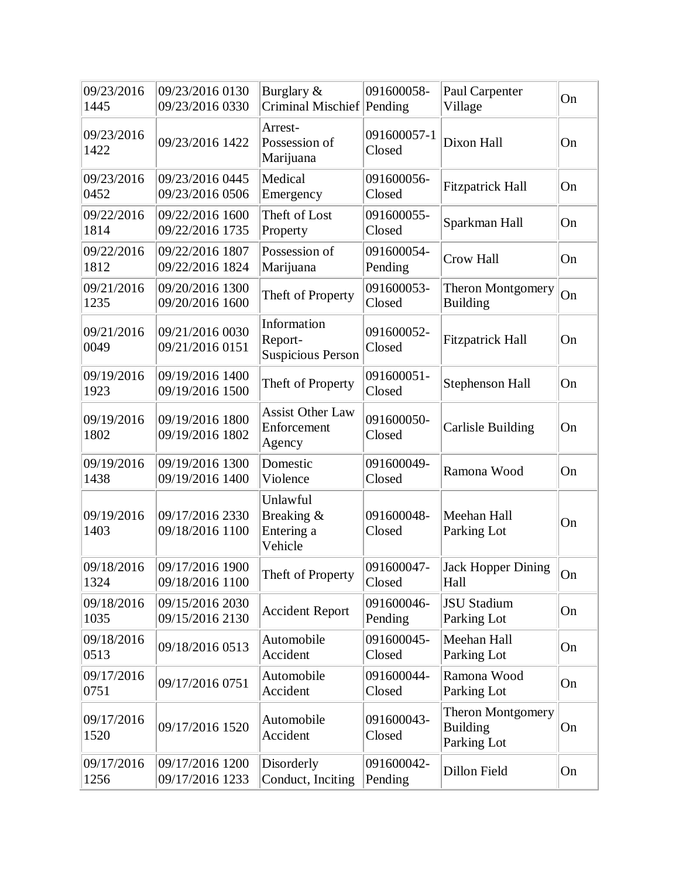| 09/23/2016<br>1445 | 09/23/2016 0130<br>09/23/2016 0330 | Burglary &<br>Criminal Mischief Pending            | 091600058-            | Paul Carpenter<br>Village                                  | On |
|--------------------|------------------------------------|----------------------------------------------------|-----------------------|------------------------------------------------------------|----|
| 09/23/2016<br>1422 | 09/23/2016 1422                    | Arrest-<br>Possession of<br>Marijuana              | 091600057-1<br>Closed | Dixon Hall                                                 | On |
| 09/23/2016<br>0452 | 09/23/2016 0445<br>09/23/2016 0506 | Medical<br>Emergency                               | 091600056-<br>Closed  | <b>Fitzpatrick Hall</b>                                    | On |
| 09/22/2016<br>1814 | 09/22/2016 1600<br>09/22/2016 1735 | Theft of Lost<br>Property                          | 091600055-<br>Closed  | Sparkman Hall                                              | On |
| 09/22/2016<br>1812 | 09/22/2016 1807<br>09/22/2016 1824 | Possession of<br>Marijuana                         | 091600054-<br>Pending | Crow Hall                                                  | On |
| 09/21/2016<br>1235 | 09/20/2016 1300<br>09/20/2016 1600 | Theft of Property                                  | 091600053-<br>Closed  | <b>Theron Montgomery</b><br><b>Building</b>                | On |
| 09/21/2016<br>0049 | 09/21/2016 0030<br>09/21/2016 0151 | Information<br>Report-<br><b>Suspicious Person</b> | 091600052-<br>Closed  | <b>Fitzpatrick Hall</b>                                    | On |
| 09/19/2016<br>1923 | 09/19/2016 1400<br>09/19/2016 1500 | Theft of Property                                  | 091600051-<br>Closed  | Stephenson Hall                                            | On |
| 09/19/2016<br>1802 | 09/19/2016 1800<br>09/19/2016 1802 | <b>Assist Other Law</b><br>Enforcement<br>Agency   | 091600050-<br>Closed  | <b>Carlisle Building</b>                                   | On |
| 09/19/2016<br>1438 | 09/19/2016 1300<br>09/19/2016 1400 | Domestic<br>Violence                               | 091600049-<br>Closed  | Ramona Wood                                                | On |
| 09/19/2016<br>1403 | 09/17/2016 2330<br>09/18/2016 1100 | Unlawful<br>Breaking &<br>Entering a<br>Vehicle    | 091600048-<br>Closed  | Meehan Hall<br>Parking Lot                                 | On |
| 09/18/2016<br>1324 | 09/17/2016 1900<br>09/18/2016 1100 | Theft of Property                                  | 091600047-<br>Closed  | <b>Jack Hopper Dining</b><br>Hall                          | On |
| 09/18/2016<br>1035 | 09/15/2016 2030<br>09/15/2016 2130 | <b>Accident Report</b>                             | 091600046-<br>Pending | <b>JSU</b> Stadium<br>Parking Lot                          | On |
| 09/18/2016<br>0513 | 09/18/2016 0513                    | Automobile<br>Accident                             | 091600045-<br>Closed  | Meehan Hall<br>Parking Lot                                 | On |
| 09/17/2016<br>0751 | 09/17/2016 0751                    | Automobile<br>Accident                             | 091600044-<br>Closed  | Ramona Wood<br>Parking Lot                                 | On |
| 09/17/2016<br>1520 | 09/17/2016 1520                    | Automobile<br>Accident                             | 091600043-<br>Closed  | <b>Theron Montgomery</b><br><b>Building</b><br>Parking Lot | On |
| 09/17/2016<br>1256 | 09/17/2016 1200<br>09/17/2016 1233 | Disorderly<br>Conduct, Inciting                    | 091600042-<br>Pending | Dillon Field                                               | On |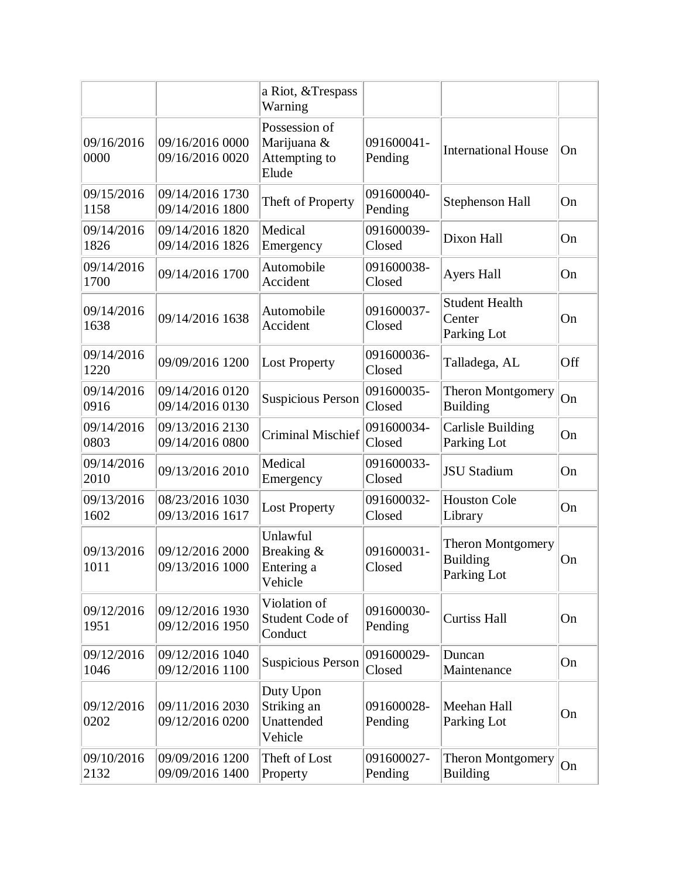|                    |                                    | a Riot, & Trespass<br>Warning                          |                       |                                                            |     |
|--------------------|------------------------------------|--------------------------------------------------------|-----------------------|------------------------------------------------------------|-----|
| 09/16/2016<br>0000 | 09/16/2016 0000<br>09/16/2016 0020 | Possession of<br>Marijuana &<br>Attempting to<br>Elude | 091600041-<br>Pending | <b>International House</b>                                 | On  |
| 09/15/2016<br>1158 | 09/14/2016 1730<br>09/14/2016 1800 | Theft of Property                                      | 091600040-<br>Pending | Stephenson Hall                                            | On  |
| 09/14/2016<br>1826 | 09/14/2016 1820<br>09/14/2016 1826 | Medical<br>Emergency                                   | 091600039-<br>Closed  | Dixon Hall                                                 | On  |
| 09/14/2016<br>1700 | 09/14/2016 1700                    | Automobile<br>Accident                                 | 091600038-<br>Closed  | <b>Ayers Hall</b>                                          | On  |
| 09/14/2016<br>1638 | 09/14/2016 1638                    | Automobile<br>Accident                                 | 091600037-<br>Closed  | <b>Student Health</b><br>Center<br>Parking Lot             | On  |
| 09/14/2016<br>1220 | 09/09/2016 1200                    | <b>Lost Property</b>                                   | 091600036-<br>Closed  | Talladega, AL                                              | Off |
| 09/14/2016<br>0916 | 09/14/2016 0120<br>09/14/2016 0130 | <b>Suspicious Person</b>                               | 091600035-<br>Closed  | <b>Theron Montgomery</b><br><b>Building</b>                | On  |
| 09/14/2016<br>0803 | 09/13/2016 2130<br>09/14/2016 0800 | <b>Criminal Mischief</b>                               | 091600034-<br>Closed  | <b>Carlisle Building</b><br>Parking Lot                    | On  |
| 09/14/2016<br>2010 | 09/13/2016 2010                    | Medical<br>Emergency                                   | 091600033-<br>Closed  | <b>JSU Stadium</b>                                         | On  |
| 09/13/2016<br>1602 | 08/23/2016 1030<br>09/13/2016 1617 | <b>Lost Property</b>                                   | 091600032-<br>Closed  | <b>Houston Cole</b><br>Library                             | On  |
| 09/13/2016<br>1011 | 09/12/2016 2000<br>09/13/2016 1000 | Unlawful<br>Breaking &<br>Entering a<br>Vehicle        | 091600031-<br>Closed  | <b>Theron Montgomery</b><br><b>Building</b><br>Parking Lot | On  |
| 09/12/2016<br>1951 | 09/12/2016 1930<br>09/12/2016 1950 | Violation of<br>Student Code of<br>Conduct             | 091600030-<br>Pending | <b>Curtiss Hall</b>                                        | On  |
| 09/12/2016<br>1046 | 09/12/2016 1040<br>09/12/2016 1100 | <b>Suspicious Person</b>                               | 091600029-<br>Closed  | Duncan<br>Maintenance                                      | On  |
| 09/12/2016<br>0202 | 09/11/2016 2030<br>09/12/2016 0200 | Duty Upon<br>Striking an<br>Unattended<br>Vehicle      | 091600028-<br>Pending | Meehan Hall<br>Parking Lot                                 | On  |
| 09/10/2016<br>2132 | 09/09/2016 1200<br>09/09/2016 1400 | Theft of Lost<br>Property                              | 091600027-<br>Pending | <b>Theron Montgomery</b><br><b>Building</b>                | On  |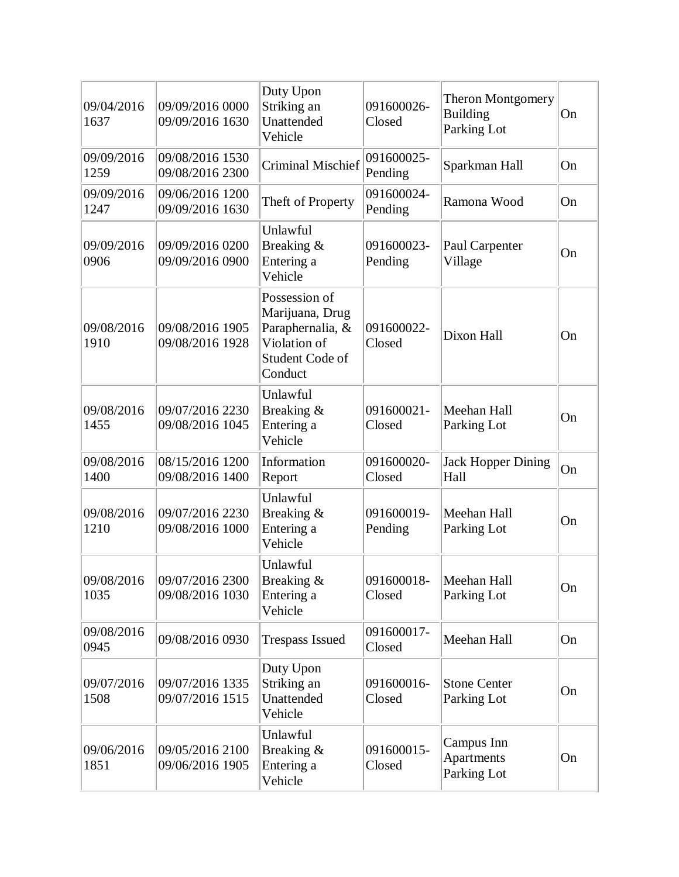| 09/04/2016<br>1637 | 09/09/2016 0000<br>09/09/2016 1630 | Duty Upon<br>Striking an<br>Unattended<br>Vehicle                                                  | 091600026-<br>Closed  | Theron Montgomery<br><b>Building</b><br>Parking Lot | On |
|--------------------|------------------------------------|----------------------------------------------------------------------------------------------------|-----------------------|-----------------------------------------------------|----|
| 09/09/2016<br>1259 | 09/08/2016 1530<br>09/08/2016 2300 | <b>Criminal Mischief</b>                                                                           | 091600025-<br>Pending | Sparkman Hall                                       | On |
| 09/09/2016<br>1247 | 09/06/2016 1200<br>09/09/2016 1630 | Theft of Property                                                                                  | 091600024-<br>Pending | Ramona Wood                                         | On |
| 09/09/2016<br>0906 | 09/09/2016 0200<br>09/09/2016 0900 | Unlawful<br>Breaking &<br>Entering a<br>Vehicle                                                    | 091600023-<br>Pending | Paul Carpenter<br>Village                           | On |
| 09/08/2016<br>1910 | 09/08/2016 1905<br>09/08/2016 1928 | Possession of<br>Marijuana, Drug<br>Paraphernalia, &<br>Violation of<br>Student Code of<br>Conduct | 091600022-<br>Closed  | Dixon Hall                                          | On |
| 09/08/2016<br>1455 | 09/07/2016 2230<br>09/08/2016 1045 | Unlawful<br>Breaking &<br>Entering a<br>Vehicle                                                    | 091600021-<br>Closed  | Meehan Hall<br>Parking Lot                          | On |
| 09/08/2016<br>1400 | 08/15/2016 1200<br>09/08/2016 1400 | Information<br>Report                                                                              | 091600020-<br>Closed  | <b>Jack Hopper Dining</b><br>Hall                   | On |
| 09/08/2016<br>1210 | 09/07/2016 2230<br>09/08/2016 1000 | Unlawful<br>Breaking &<br>Entering a<br>Vehicle                                                    | 091600019-<br>Pending | Meehan Hall<br>Parking Lot                          | On |
| 09/08/2016<br>1035 | 09/07/2016 2300<br>09/08/2016 1030 | Unlawful<br>Breaking &<br>Entering a<br>Vehicle                                                    | 091600018-<br>Closed  | Meehan Hall<br>Parking Lot                          | On |
| 09/08/2016<br>0945 | 09/08/2016 0930                    | <b>Trespass Issued</b>                                                                             | 091600017-<br>Closed  | Meehan Hall                                         | On |
| 09/07/2016<br>1508 | 09/07/2016 1335<br>09/07/2016 1515 | Duty Upon<br>Striking an<br>Unattended<br>Vehicle                                                  | 091600016-<br>Closed  | <b>Stone Center</b><br>Parking Lot                  | On |
| 09/06/2016<br>1851 | 09/05/2016 2100<br>09/06/2016 1905 | Unlawful<br>Breaking &<br>Entering a<br>Vehicle                                                    | 091600015-<br>Closed  | Campus Inn<br>Apartments<br>Parking Lot             | On |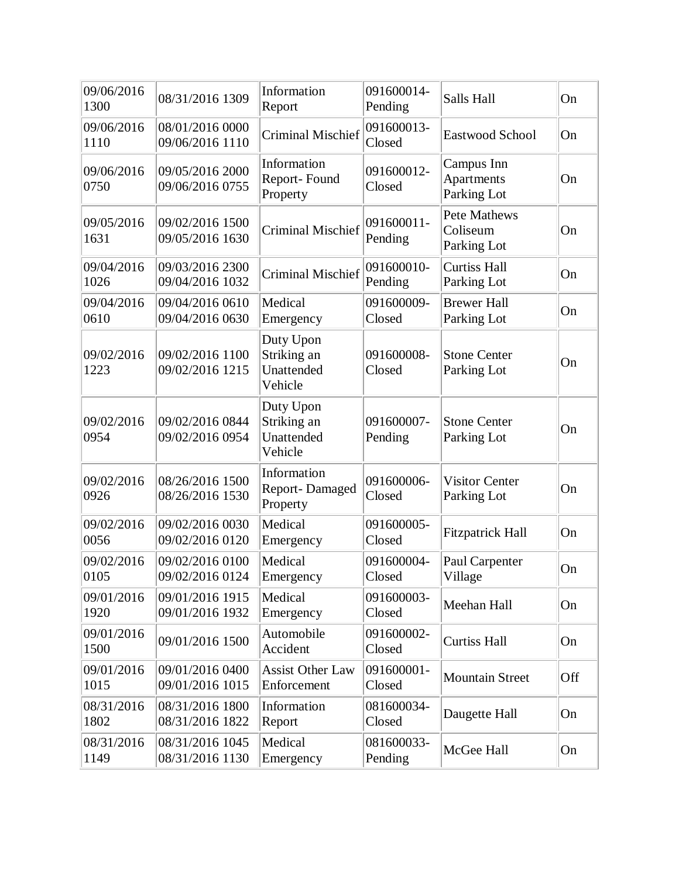| 09/06/2016<br>1300 | 08/31/2016 1309                    | Information<br>Report                             | 091600014-<br>Pending | Salls Hall                                     | On  |
|--------------------|------------------------------------|---------------------------------------------------|-----------------------|------------------------------------------------|-----|
| 09/06/2016<br>1110 | 08/01/2016 0000<br>09/06/2016 1110 | <b>Criminal Mischief</b>                          | 091600013-<br>Closed  | Eastwood School                                | On  |
| 09/06/2016<br>0750 | 09/05/2016 2000<br>09/06/2016 0755 | Information<br>Report-Found<br>Property           | 091600012-<br>Closed  | Campus Inn<br>Apartments<br>Parking Lot        | On  |
| 09/05/2016<br>1631 | 09/02/2016 1500<br>09/05/2016 1630 | <b>Criminal Mischief</b>                          | 091600011-<br>Pending | <b>Pete Mathews</b><br>Coliseum<br>Parking Lot | On  |
| 09/04/2016<br>1026 | 09/03/2016 2300<br>09/04/2016 1032 | <b>Criminal Mischief</b>                          | 091600010-<br>Pending | <b>Curtiss Hall</b><br>Parking Lot             | On  |
| 09/04/2016<br>0610 | 09/04/2016 0610<br>09/04/2016 0630 | Medical<br>Emergency                              | 091600009-<br>Closed  | <b>Brewer Hall</b><br>Parking Lot              | On  |
| 09/02/2016<br>1223 | 09/02/2016 1100<br>09/02/2016 1215 | Duty Upon<br>Striking an<br>Unattended<br>Vehicle | 091600008-<br>Closed  | <b>Stone Center</b><br>Parking Lot             | On  |
| 09/02/2016<br>0954 | 09/02/2016 0844<br>09/02/2016 0954 | Duty Upon<br>Striking an<br>Unattended<br>Vehicle | 091600007-<br>Pending | <b>Stone Center</b><br>Parking Lot             | On  |
| 09/02/2016<br>0926 | 08/26/2016 1500<br>08/26/2016 1530 | Information<br><b>Report-Damaged</b><br>Property  | 091600006-<br>Closed  | <b>Visitor Center</b><br>Parking Lot           | On  |
| 09/02/2016<br>0056 | 09/02/2016 0030<br>09/02/2016 0120 | Medical<br>Emergency                              | 091600005-<br>Closed  | <b>Fitzpatrick Hall</b>                        | On  |
| 09/02/2016<br>0105 | 09/02/2016 0100<br>09/02/2016 0124 | Medical<br>Emergency                              | 091600004-<br>Closed  | Paul Carpenter<br>Village                      | On  |
| 09/01/2016<br>1920 | 09/01/2016 1915<br>09/01/2016 1932 | Medical<br>Emergency                              | 091600003-<br>Closed  | Meehan Hall                                    | On  |
| 09/01/2016<br>1500 | 09/01/2016 1500                    | Automobile<br>Accident                            | 091600002-<br>Closed  | <b>Curtiss Hall</b>                            | On  |
| 09/01/2016<br>1015 | 09/01/2016 0400<br>09/01/2016 1015 | <b>Assist Other Law</b><br>Enforcement            | 091600001-<br>Closed  | <b>Mountain Street</b>                         | Off |
| 08/31/2016<br>1802 | 08/31/2016 1800<br>08/31/2016 1822 | Information<br>Report                             | 081600034-<br>Closed  | Daugette Hall                                  | On  |
| 08/31/2016<br>1149 | 08/31/2016 1045<br>08/31/2016 1130 | Medical<br>Emergency                              | 081600033-<br>Pending | McGee Hall                                     | On  |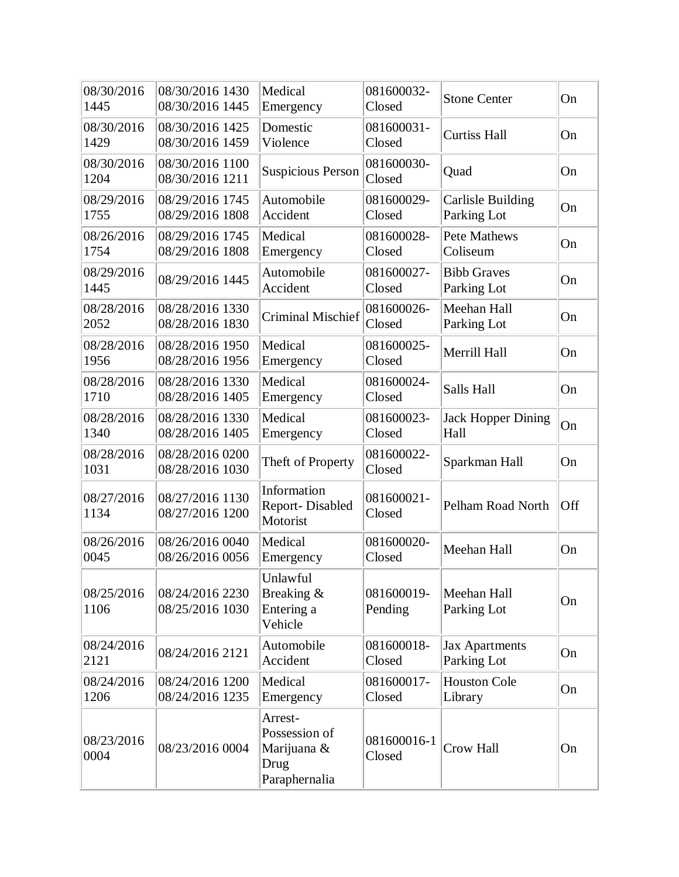| 08/30/2016<br>1445 | 08/30/2016 1430<br>08/30/2016 1445 | Medical<br>Emergency                                             | 081600032-<br>Closed  | <b>Stone Center</b>                     | On        |
|--------------------|------------------------------------|------------------------------------------------------------------|-----------------------|-----------------------------------------|-----------|
| 08/30/2016<br>1429 | 08/30/2016 1425<br>08/30/2016 1459 | Domestic<br>Violence                                             | 081600031-<br>Closed  | <b>Curtiss Hall</b>                     | On        |
| 08/30/2016<br>1204 | 08/30/2016 1100<br>08/30/2016 1211 | <b>Suspicious Person</b>                                         | 081600030-<br>Closed  | Quad                                    | On        |
| 08/29/2016<br>1755 | 08/29/2016 1745<br>08/29/2016 1808 | Automobile<br>Accident                                           | 081600029-<br>Closed  | <b>Carlisle Building</b><br>Parking Lot | On        |
| 08/26/2016<br>1754 | 08/29/2016 1745<br>08/29/2016 1808 | Medical<br>Emergency                                             | 081600028-<br>Closed  | <b>Pete Mathews</b><br>Coliseum         | On        |
| 08/29/2016<br>1445 | 08/29/2016 1445                    | Automobile<br>Accident                                           | 081600027-<br>Closed  | <b>Bibb Graves</b><br>Parking Lot       | On        |
| 08/28/2016<br>2052 | 08/28/2016 1330<br>08/28/2016 1830 | <b>Criminal Mischief</b>                                         | 081600026-<br>Closed  | Meehan Hall<br>Parking Lot              | On        |
| 08/28/2016<br>1956 | 08/28/2016 1950<br>08/28/2016 1956 | Medical<br>Emergency                                             | 081600025-<br>Closed  | Merrill Hall                            | On        |
| 08/28/2016<br>1710 | 08/28/2016 1330<br>08/28/2016 1405 | Medical<br>Emergency                                             | 081600024-<br>Closed  | Salls Hall                              | On        |
| 08/28/2016<br>1340 | 08/28/2016 1330<br>08/28/2016 1405 | Medical<br>Emergency                                             | 081600023-<br>Closed  | <b>Jack Hopper Dining</b><br>Hall       | On        |
| 08/28/2016<br>1031 | 08/28/2016 0200<br>08/28/2016 1030 | Theft of Property                                                | 081600022-<br>Closed  | Sparkman Hall                           | On        |
| 08/27/2016<br>1134 | 08/27/2016 1130<br>08/27/2016 1200 | Information<br>Report-Disabled<br>Motorist                       | 081600021-<br>Closed  | Pelham Road North                       | Off       |
| 08/26/2016<br>0045 | 08/26/2016 0040<br>08/26/2016 0056 | Medical<br>Emergency                                             | 081600020-<br>Closed  | Meehan Hall                             | On        |
| 08/25/2016<br>1106 | 08/24/2016 2230<br>08/25/2016 1030 | Unlawful<br>Breaking &<br>Entering a<br>Vehicle                  | 081600019-<br>Pending | Meehan Hall<br>Parking Lot              | <b>On</b> |
| 08/24/2016<br>2121 | 08/24/2016 2121                    | Automobile<br>Accident                                           | 081600018-<br>Closed  | <b>Jax Apartments</b><br>Parking Lot    | On        |
| 08/24/2016<br>1206 | 08/24/2016 1200<br>08/24/2016 1235 | Medical<br>Emergency                                             | 081600017-<br>Closed  | <b>Houston Cole</b><br>Library          | On        |
| 08/23/2016<br>0004 | 08/23/2016 0004                    | Arrest-<br>Possession of<br>Marijuana &<br>Drug<br>Paraphernalia | 081600016-1<br>Closed | <b>Crow Hall</b>                        | On        |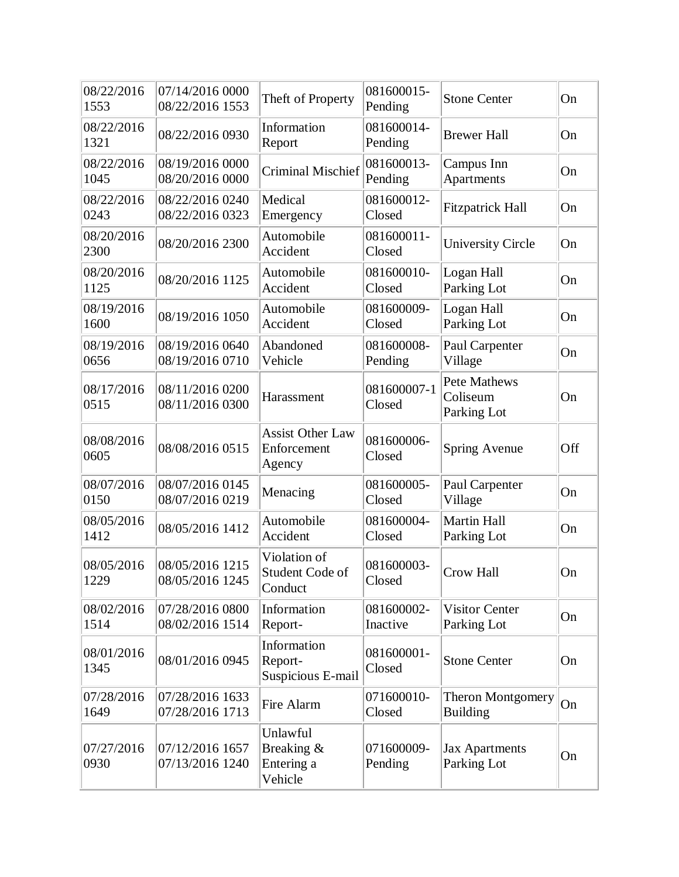| 08/22/2016<br>1553 | 07/14/2016 0000<br>08/22/2016 1553 | Theft of Property                                | 081600015-<br>Pending  | <b>Stone Center</b>                            | On  |
|--------------------|------------------------------------|--------------------------------------------------|------------------------|------------------------------------------------|-----|
| 08/22/2016<br>1321 | 08/22/2016 0930                    | Information<br>Report                            | 081600014-<br>Pending  | <b>Brewer Hall</b>                             | On  |
| 08/22/2016<br>1045 | 08/19/2016 0000<br>08/20/2016 0000 | <b>Criminal Mischief</b>                         | 081600013-<br>Pending  | Campus Inn<br>Apartments                       | On  |
| 08/22/2016<br>0243 | 08/22/2016 0240<br>08/22/2016 0323 | Medical<br>Emergency                             | 081600012-<br>Closed   | <b>Fitzpatrick Hall</b>                        | On  |
| 08/20/2016<br>2300 | 08/20/2016 2300                    | Automobile<br>Accident                           | 081600011-<br>Closed   | <b>University Circle</b>                       | On  |
| 08/20/2016<br>1125 | 08/20/2016 1125                    | Automobile<br>Accident                           | 081600010-<br>Closed   | Logan Hall<br>Parking Lot                      | On  |
| 08/19/2016<br>1600 | 08/19/2016 1050                    | Automobile<br>Accident                           | 081600009-<br>Closed   | Logan Hall<br>Parking Lot                      | On  |
| 08/19/2016<br>0656 | 08/19/2016 0640<br>08/19/2016 0710 | Abandoned<br>Vehicle                             | 081600008-<br>Pending  | Paul Carpenter<br>Village                      | On  |
| 08/17/2016<br>0515 | 08/11/2016 0200<br>08/11/2016 0300 | Harassment                                       | 081600007-1<br>Closed  | <b>Pete Mathews</b><br>Coliseum<br>Parking Lot | On  |
| 08/08/2016<br>0605 | 08/08/2016 0515                    | <b>Assist Other Law</b><br>Enforcement<br>Agency | 081600006-<br>Closed   | Spring Avenue                                  | Off |
| 08/07/2016<br>0150 | 08/07/2016 0145<br>08/07/2016 0219 | Menacing                                         | 081600005-<br>Closed   | Paul Carpenter<br>Village                      | On  |
| 08/05/2016<br>1412 | 08/05/2016 1412                    | Automobile<br>Accident                           | 081600004-<br>Closed   | Martin Hall<br>Parking Lot                     | On  |
| 08/05/2016<br>1229 | 08/05/2016 1215<br>08/05/2016 1245 | Violation of<br>Student Code of<br>Conduct       | 081600003-<br>Closed   | Crow Hall                                      | On  |
| 08/02/2016<br>1514 | 07/28/2016 0800<br>08/02/2016 1514 | Information<br>Report-                           | 081600002-<br>Inactive | <b>Visitor Center</b><br>Parking Lot           | On  |
| 08/01/2016<br>1345 | 08/01/2016 0945                    | Information<br>Report-<br>Suspicious E-mail      | 081600001-<br>Closed   | <b>Stone Center</b>                            | On  |
| 07/28/2016<br>1649 | 07/28/2016 1633<br>07/28/2016 1713 | Fire Alarm                                       | 071600010-<br>Closed   | <b>Theron Montgomery</b><br><b>Building</b>    | On  |
| 07/27/2016<br>0930 | 07/12/2016 1657<br>07/13/2016 1240 | Unlawful<br>Breaking &<br>Entering a<br>Vehicle  | 071600009-<br>Pending  | <b>Jax Apartments</b><br>Parking Lot           | On  |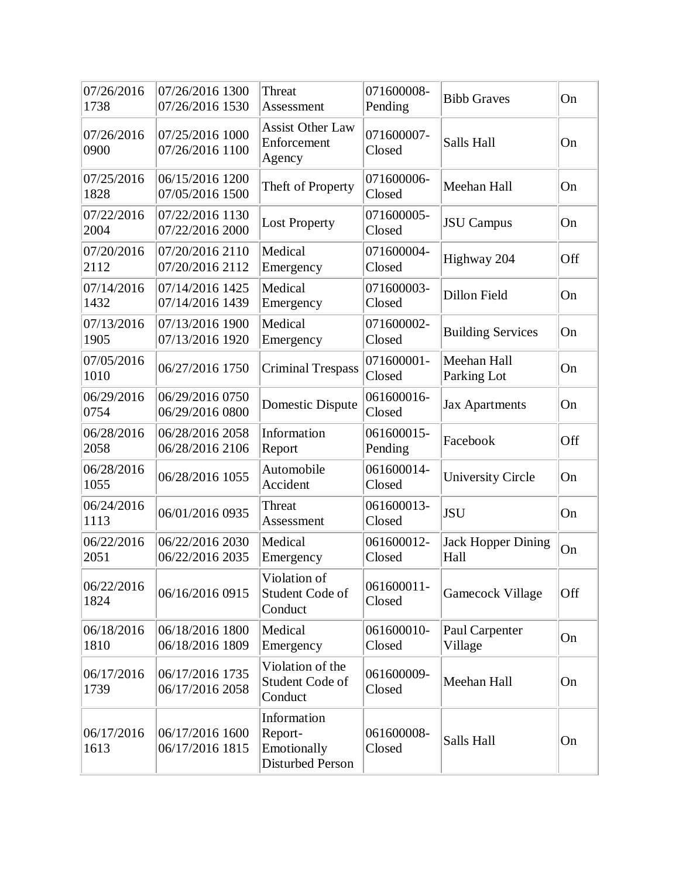| 07/26/2016<br>1738 | 07/26/2016 1300<br>07/26/2016 1530 | Threat<br>Assessment                                             | 071600008-<br>Pending | <b>Bibb Graves</b>                | On  |
|--------------------|------------------------------------|------------------------------------------------------------------|-----------------------|-----------------------------------|-----|
| 07/26/2016<br>0900 | 07/25/2016 1000<br>07/26/2016 1100 | <b>Assist Other Law</b><br>Enforcement<br>Agency                 | 071600007-<br>Closed  | Salls Hall                        | On  |
| 07/25/2016<br>1828 | 06/15/2016 1200<br>07/05/2016 1500 | Theft of Property                                                | 071600006-<br>Closed  | Meehan Hall                       | On  |
| 07/22/2016<br>2004 | 07/22/2016 1130<br>07/22/2016 2000 | <b>Lost Property</b>                                             | 071600005-<br>Closed  | <b>JSU</b> Campus                 | On  |
| 07/20/2016<br>2112 | 07/20/2016 2110<br>07/20/2016 2112 | Medical<br>Emergency                                             | 071600004-<br>Closed  | Highway 204                       | Off |
| 07/14/2016<br>1432 | 07/14/2016 1425<br>07/14/2016 1439 | Medical<br>Emergency                                             | 071600003-<br>Closed  | Dillon Field                      | On  |
| 07/13/2016<br>1905 | 07/13/2016 1900<br>07/13/2016 1920 | Medical<br>Emergency                                             | 071600002-<br>Closed  | <b>Building Services</b>          | On  |
| 07/05/2016<br>1010 | 06/27/2016 1750                    | <b>Criminal Trespass</b>                                         | 071600001-<br>Closed  | Meehan Hall<br>Parking Lot        | On  |
| 06/29/2016<br>0754 | 06/29/2016 0750<br>06/29/2016 0800 | Domestic Dispute                                                 | 061600016-<br>Closed  | <b>Jax Apartments</b>             | On  |
| 06/28/2016<br>2058 | 06/28/2016 2058<br>06/28/2016 2106 | Information<br>Report                                            | 061600015-<br>Pending | Facebook                          | Off |
| 06/28/2016<br>1055 | 06/28/2016 1055                    | Automobile<br>Accident                                           | 061600014-<br>Closed  | <b>University Circle</b>          | On  |
| 06/24/2016<br>1113 | 06/01/2016 0935                    | Threat<br>Assessment                                             | 061600013-<br>Closed  | <b>JSU</b>                        | On  |
| 06/22/2016<br>2051 | 06/22/2016 2030<br>06/22/2016 2035 | Medical<br>Emergency                                             | 061600012-<br>Closed  | <b>Jack Hopper Dining</b><br>Hall | On  |
| 06/22/2016<br>1824 | 06/16/2016 0915                    | Violation of<br>Student Code of<br>Conduct                       | 061600011-<br>Closed  | <b>Gamecock Village</b>           | Off |
| 06/18/2016<br>1810 | 06/18/2016 1800<br>06/18/2016 1809 | Medical<br>Emergency                                             | 061600010-<br>Closed  | Paul Carpenter<br>Village         | On  |
| 06/17/2016<br>1739 | 06/17/2016 1735<br>06/17/2016 2058 | Violation of the<br>Student Code of<br>Conduct                   | 061600009-<br>Closed  | Meehan Hall                       | On  |
| 06/17/2016<br>1613 | 06/17/2016 1600<br>06/17/2016 1815 | Information<br>Report-<br>Emotionally<br><b>Disturbed Person</b> | 061600008-<br>Closed  | Salls Hall                        | On  |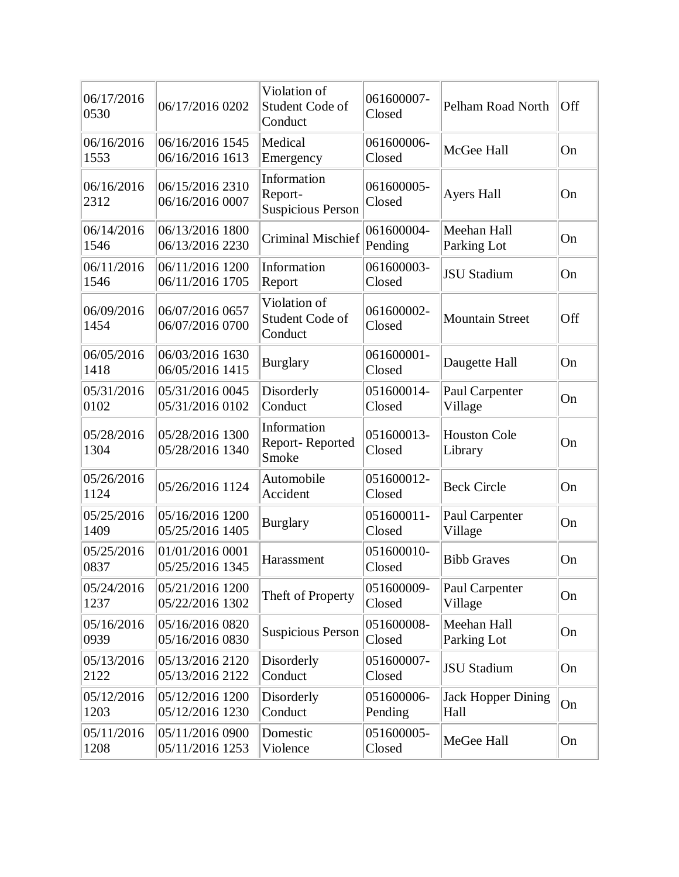| 06/17/2016<br>0530 | 06/17/2016 0202                    | Violation of<br>Student Code of<br>Conduct         | 061600007-<br>Closed  | Pelham Road North                 | Off |
|--------------------|------------------------------------|----------------------------------------------------|-----------------------|-----------------------------------|-----|
| 06/16/2016<br>1553 | 06/16/2016 1545<br>06/16/2016 1613 | Medical<br>Emergency                               | 061600006-<br>Closed  | McGee Hall                        | On  |
| 06/16/2016<br>2312 | 06/15/2016 2310<br>06/16/2016 0007 | Information<br>Report-<br><b>Suspicious Person</b> | 061600005-<br>Closed  | <b>Ayers Hall</b>                 | On  |
| 06/14/2016<br>1546 | 06/13/2016 1800<br>06/13/2016 2230 | <b>Criminal Mischief</b>                           | 061600004-<br>Pending | Meehan Hall<br>Parking Lot        | On  |
| 06/11/2016<br>1546 | 06/11/2016 1200<br>06/11/2016 1705 | Information<br>Report                              | 061600003-<br>Closed  | <b>JSU Stadium</b>                | On  |
| 06/09/2016<br>1454 | 06/07/2016 0657<br>06/07/2016 0700 | Violation of<br>Student Code of<br>Conduct         | 061600002-<br>Closed  | <b>Mountain Street</b>            | Off |
| 06/05/2016<br>1418 | 06/03/2016 1630<br>06/05/2016 1415 | <b>Burglary</b>                                    | 061600001-<br>Closed  | Daugette Hall                     | On  |
| 05/31/2016<br>0102 | 05/31/2016 0045<br>05/31/2016 0102 | Disorderly<br>Conduct                              | 051600014-<br>Closed  | Paul Carpenter<br>Village         | On  |
| 05/28/2016<br>1304 | 05/28/2016 1300<br>05/28/2016 1340 | Information<br>Report-Reported<br>Smoke            | 051600013-<br>Closed  | <b>Houston Cole</b><br>Library    | On  |
| 05/26/2016<br>1124 | 05/26/2016 1124                    | Automobile<br>Accident                             | 051600012-<br>Closed  | <b>Beck Circle</b>                | On  |
| 05/25/2016<br>1409 | 05/16/2016 1200<br>05/25/2016 1405 | <b>Burglary</b>                                    | 051600011-<br>Closed  | Paul Carpenter<br>Village         | On  |
| 05/25/2016<br>0837 | 01/01/2016 0001<br>05/25/2016 1345 | Harassment                                         | 051600010-<br>Closed  | <b>Bibb Graves</b>                | On  |
| 05/24/2016<br>1237 | 05/21/2016 1200<br>05/22/2016 1302 | Theft of Property                                  | 051600009-<br>Closed  | Paul Carpenter<br>Village         | On  |
| 05/16/2016<br>0939 | 05/16/2016 0820<br>05/16/2016 0830 | <b>Suspicious Person</b>                           | 051600008-<br>Closed  | Meehan Hall<br>Parking Lot        | On  |
| 05/13/2016<br>2122 | 05/13/2016 2120<br>05/13/2016 2122 | Disorderly<br>Conduct                              | 051600007-<br>Closed  | <b>JSU</b> Stadium                | On  |
| 05/12/2016<br>1203 | 05/12/2016 1200<br>05/12/2016 1230 | Disorderly<br>Conduct                              | 051600006-<br>Pending | <b>Jack Hopper Dining</b><br>Hall | On  |
| 05/11/2016<br>1208 | 05/11/2016 0900<br>05/11/2016 1253 | Domestic<br>Violence                               | 051600005-<br>Closed  | MeGee Hall                        | On  |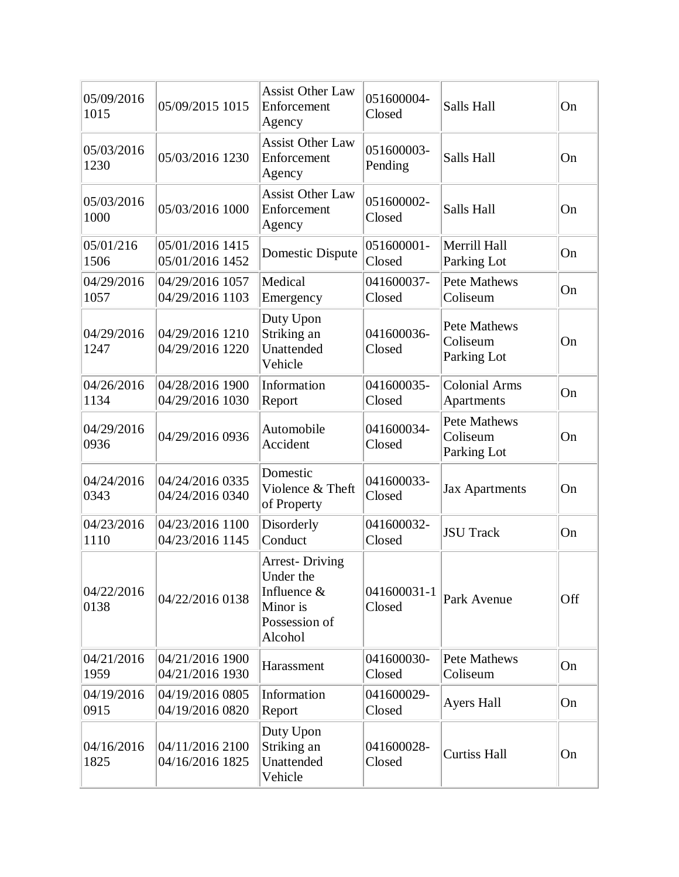| 05/09/2016<br>1015 | 05/09/2015 1015                    | <b>Assist Other Law</b><br>Enforcement<br>Agency                                          | 051600004-<br>Closed  | Salls Hall                              | On  |
|--------------------|------------------------------------|-------------------------------------------------------------------------------------------|-----------------------|-----------------------------------------|-----|
| 05/03/2016<br>1230 | 05/03/2016 1230                    | <b>Assist Other Law</b><br>Enforcement<br>Agency                                          | 051600003-<br>Pending | Salls Hall                              | On  |
| 05/03/2016<br>1000 | 05/03/2016 1000                    | <b>Assist Other Law</b><br>Enforcement<br>Agency                                          | 051600002-<br>Closed  | Salls Hall                              | On  |
| 05/01/216<br>1506  | 05/01/2016 1415<br>05/01/2016 1452 | Domestic Dispute                                                                          | 051600001-<br>Closed  | Merrill Hall<br>Parking Lot             | On  |
| 04/29/2016<br>1057 | 04/29/2016 1057<br>04/29/2016 1103 | Medical<br>Emergency                                                                      | 041600037-<br>Closed  | Pete Mathews<br>Coliseum                | On  |
| 04/29/2016<br>1247 | 04/29/2016 1210<br>04/29/2016 1220 | Duty Upon<br>Striking an<br>Unattended<br>Vehicle                                         | 041600036-<br>Closed  | Pete Mathews<br>Coliseum<br>Parking Lot | On  |
| 04/26/2016<br>1134 | 04/28/2016 1900<br>04/29/2016 1030 | Information<br>Report                                                                     | 041600035-<br>Closed  | <b>Colonial Arms</b><br>Apartments      | On  |
| 04/29/2016<br>0936 | 04/29/2016 0936                    | Automobile<br>Accident                                                                    | 041600034-<br>Closed  | Pete Mathews<br>Coliseum<br>Parking Lot | On  |
| 04/24/2016<br>0343 | 04/24/2016 0335<br>04/24/2016 0340 | Domestic<br>Violence & Theft<br>of Property                                               | 041600033-<br>Closed  | <b>Jax Apartments</b>                   | On  |
| 04/23/2016<br>1110 | 04/23/2016 1100<br>04/23/2016 1145 | Disorderly<br>Conduct                                                                     | 041600032-<br>Closed  | <b>JSU Track</b>                        | On  |
| 04/22/2016<br>0138 | 04/22/2016 0138                    | <b>Arrest-Driving</b><br>Under the<br>Influence &<br>Minor is<br>Possession of<br>Alcohol | 041600031-1<br>Closed | Park Avenue                             | Off |
| 04/21/2016<br>1959 | 04/21/2016 1900<br>04/21/2016 1930 | Harassment                                                                                | 041600030-<br>Closed  | Pete Mathews<br>Coliseum                | On  |
| 04/19/2016<br>0915 | 04/19/2016 0805<br>04/19/2016 0820 | Information<br>Report                                                                     | 041600029-<br>Closed  | <b>Ayers Hall</b>                       | On  |
| 04/16/2016<br>1825 | 04/11/2016 2100<br>04/16/2016 1825 | Duty Upon<br>Striking an<br>Unattended<br>Vehicle                                         | 041600028-<br>Closed  | <b>Curtiss Hall</b>                     | On  |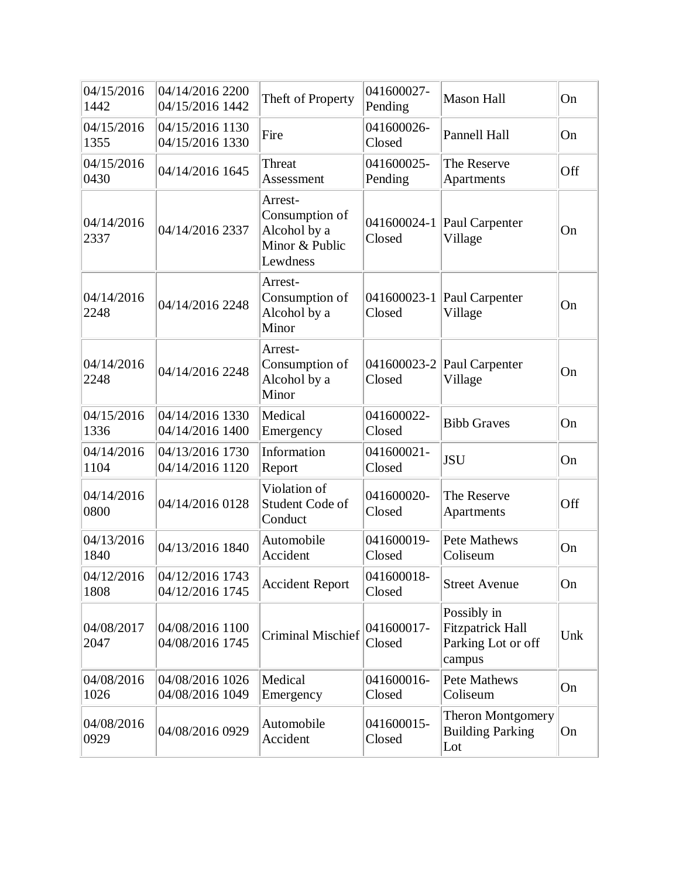| 04/15/2016<br>1442 | 04/14/2016 2200<br>04/15/2016 1442 | Theft of Property                                                       | 041600027-<br>Pending     | <b>Mason Hall</b>                                                      | On  |
|--------------------|------------------------------------|-------------------------------------------------------------------------|---------------------------|------------------------------------------------------------------------|-----|
| 04/15/2016<br>1355 | 04/15/2016 1130<br>04/15/2016 1330 | Fire                                                                    | 041600026-<br>Closed      | Pannell Hall                                                           | On  |
| 04/15/2016<br>0430 | 04/14/2016 1645                    | Threat<br>Assessment                                                    | 041600025-<br>Pending     | The Reserve<br>Apartments                                              | Off |
| 04/14/2016<br>2337 | 04/14/2016 2337                    | Arrest-<br>Consumption of<br>Alcohol by a<br>Minor & Public<br>Lewdness | $041600024 - 1$<br>Closed | Paul Carpenter<br>Village                                              | On  |
| 04/14/2016<br>2248 | 04/14/2016 2248                    | Arrest-<br>Consumption of<br>Alcohol by a<br>Minor                      | Closed                    | 041600023-1 Paul Carpenter<br>Village                                  | On  |
| 04/14/2016<br>2248 | 04/14/2016 2248                    | Arrest-<br>Consumption of<br>Alcohol by a<br>Minor                      | Closed                    | 041600023-2 Paul Carpenter<br>Village                                  | On  |
| 04/15/2016<br>1336 | 04/14/2016 1330<br>04/14/2016 1400 | Medical<br>Emergency                                                    | 041600022-<br>Closed      | <b>Bibb Graves</b>                                                     | On  |
| 04/14/2016<br>1104 | 04/13/2016 1730<br>04/14/2016 1120 | Information<br>Report                                                   | 041600021-<br>Closed      | <b>JSU</b>                                                             | On  |
| 04/14/2016<br>0800 | 04/14/2016 0128                    | Violation of<br>Student Code of<br>Conduct                              | 041600020-<br>Closed      | The Reserve<br>Apartments                                              | Off |
| 04/13/2016<br>1840 | 04/13/2016 1840                    | Automobile<br>Accident                                                  | 041600019-<br>Closed      | <b>Pete Mathews</b><br>Coliseum                                        | On  |
| 04/12/2016<br>1808 | 04/12/2016 1743<br>04/12/2016 1745 | <b>Accident Report</b>                                                  | 041600018-<br>Closed      | <b>Street Avenue</b>                                                   | On  |
| 04/08/2017<br>2047 | 04/08/2016 1100<br>04/08/2016 1745 | <b>Criminal Mischief</b>                                                | 041600017-<br>Closed      | Possibly in<br><b>Fitzpatrick Hall</b><br>Parking Lot or off<br>campus | Unk |
| 04/08/2016<br>1026 | 04/08/2016 1026<br>04/08/2016 1049 | Medical<br>Emergency                                                    | 041600016-<br>Closed      | <b>Pete Mathews</b><br>Coliseum                                        | On  |
| 04/08/2016<br>0929 | 04/08/2016 0929                    | Automobile<br>Accident                                                  | 041600015-<br>Closed      | <b>Theron Montgomery</b><br><b>Building Parking</b><br>Lot             | On  |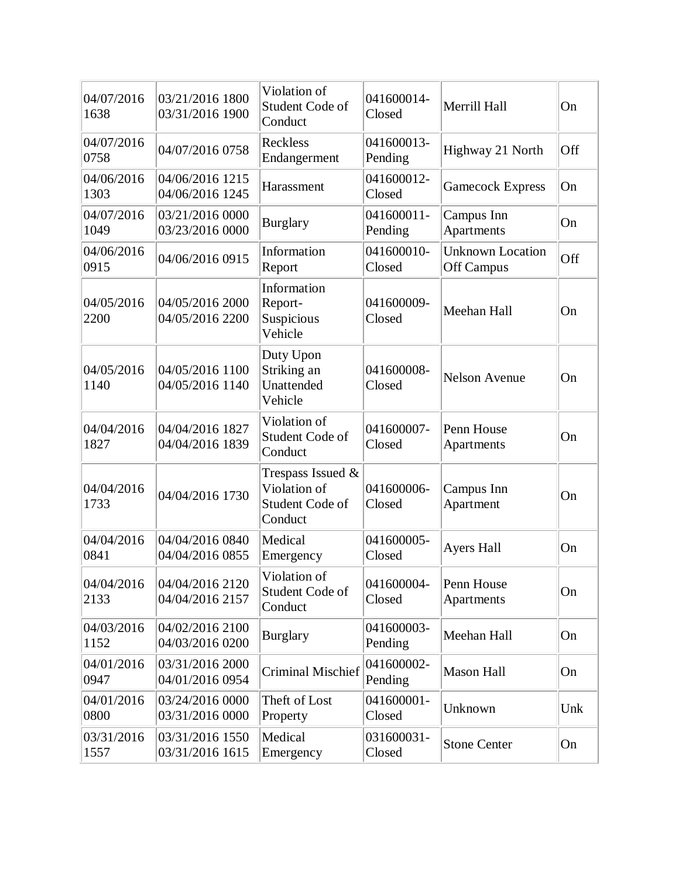| 04/07/2016<br>1638 | 03/21/2016 1800<br>03/31/2016 1900 | Violation of<br>Student Code of<br>Conduct                         | 041600014-<br>Closed  | Merrill Hall                          | On  |
|--------------------|------------------------------------|--------------------------------------------------------------------|-----------------------|---------------------------------------|-----|
| 04/07/2016<br>0758 | 04/07/2016 0758                    | Reckless<br>Endangerment                                           | 041600013-<br>Pending | Highway 21 North                      | Off |
| 04/06/2016<br>1303 | 04/06/2016 1215<br>04/06/2016 1245 | Harassment                                                         | 041600012-<br>Closed  | <b>Gamecock Express</b>               | On  |
| 04/07/2016<br>1049 | 03/21/2016 0000<br>03/23/2016 0000 | <b>Burglary</b>                                                    | 041600011-<br>Pending | Campus Inn<br>Apartments              | On  |
| 04/06/2016<br>0915 | 04/06/2016 0915                    | Information<br>Report                                              | 041600010-<br>Closed  | <b>Unknown Location</b><br>Off Campus | Off |
| 04/05/2016<br>2200 | 04/05/2016 2000<br>04/05/2016 2200 | Information<br>Report-<br>Suspicious<br>Vehicle                    | 041600009-<br>Closed  | Meehan Hall                           | On  |
| 04/05/2016<br>1140 | 04/05/2016 1100<br>04/05/2016 1140 | Duty Upon<br>Striking an<br>Unattended<br>Vehicle                  | 041600008-<br>Closed  | <b>Nelson Avenue</b>                  | On  |
| 04/04/2016<br>1827 | 04/04/2016 1827<br>04/04/2016 1839 | Violation of<br>Student Code of<br>Conduct                         | 041600007-<br>Closed  | Penn House<br>Apartments              | On  |
| 04/04/2016<br>1733 | 04/04/2016 1730                    | Trespass Issued $\&$<br>Violation of<br>Student Code of<br>Conduct | 041600006-<br>Closed  | Campus Inn<br>Apartment               | On  |
| 04/04/2016<br>0841 | 04/04/2016 0840<br>04/04/2016 0855 | Medical<br>Emergency                                               | 041600005-<br>Closed  | <b>Ayers Hall</b>                     | On  |
| 04/04/2016<br>2133 | 04/04/2016 2120<br>04/04/2016 2157 | Violation of<br>Student Code of<br>Conduct                         | 041600004-<br>Closed  | Penn House<br>Apartments              | On  |
| 04/03/2016<br>1152 | 04/02/2016 2100<br>04/03/2016 0200 | <b>Burglary</b>                                                    | 041600003-<br>Pending | Meehan Hall                           | On  |
| 04/01/2016<br>0947 | 03/31/2016 2000<br>04/01/2016 0954 | Criminal Mischief                                                  | 041600002-<br>Pending | <b>Mason Hall</b>                     | On  |
| 04/01/2016<br>0800 | 03/24/2016 0000<br>03/31/2016 0000 | Theft of Lost<br>Property                                          | 041600001-<br>Closed  | Unknown                               | Unk |
| 03/31/2016<br>1557 | 03/31/2016 1550<br>03/31/2016 1615 | Medical<br>Emergency                                               | 031600031-<br>Closed  | <b>Stone Center</b>                   | On  |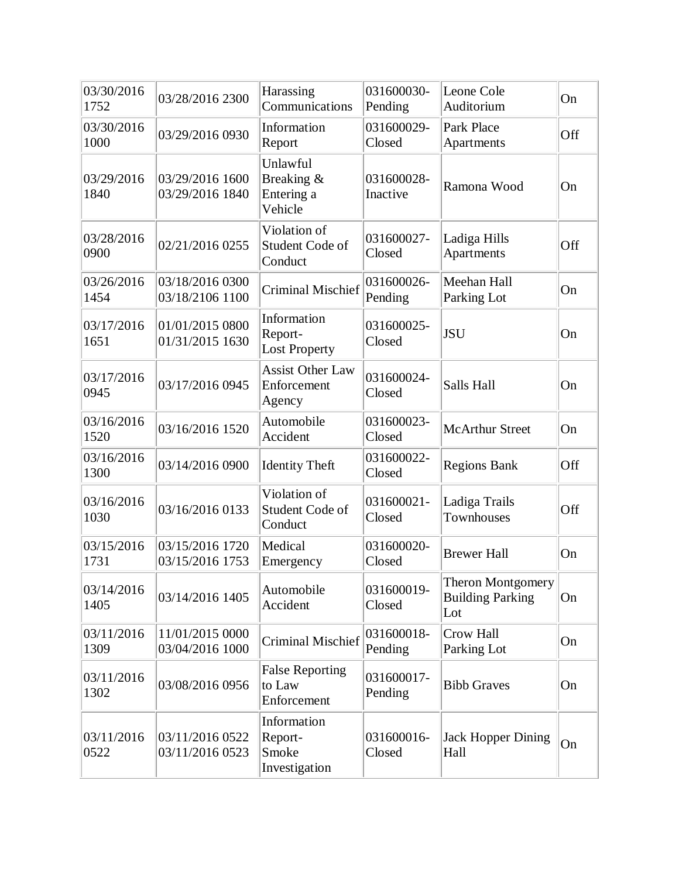| 03/30/2016<br>1752 | 03/28/2016 2300                    | Harassing<br>Communications                      | 031600030-<br>Pending  | Leone Cole<br>Auditorium                                   | On  |
|--------------------|------------------------------------|--------------------------------------------------|------------------------|------------------------------------------------------------|-----|
| 03/30/2016<br>1000 | 03/29/2016 0930                    | Information<br>Report                            | 031600029-<br>Closed   | Park Place<br>Apartments                                   | Off |
| 03/29/2016<br>1840 | 03/29/2016 1600<br>03/29/2016 1840 | Unlawful<br>Breaking &<br>Entering a<br>Vehicle  | 031600028-<br>Inactive | Ramona Wood                                                | On  |
| 03/28/2016<br>0900 | 02/21/2016 0255                    | Violation of<br>Student Code of<br>Conduct       | 031600027-<br>Closed   | Ladiga Hills<br>Apartments                                 | Off |
| 03/26/2016<br>1454 | 03/18/2016 0300<br>03/18/2106 1100 | <b>Criminal Mischief</b>                         | 031600026-<br>Pending  | Meehan Hall<br>Parking Lot                                 | On  |
| 03/17/2016<br>1651 | 01/01/2015 0800<br>01/31/2015 1630 | Information<br>Report-<br><b>Lost Property</b>   | 031600025-<br>Closed   | <b>JSU</b>                                                 | On  |
| 03/17/2016<br>0945 | 03/17/2016 0945                    | <b>Assist Other Law</b><br>Enforcement<br>Agency | 031600024-<br>Closed   | Salls Hall                                                 | On  |
| 03/16/2016<br>1520 | 03/16/2016 1520                    | Automobile<br>Accident                           | 031600023-<br>Closed   | <b>McArthur Street</b>                                     | On  |
| 03/16/2016<br>1300 | 03/14/2016 0900                    | <b>Identity Theft</b>                            | 031600022-<br>Closed   | <b>Regions Bank</b>                                        | Off |
| 03/16/2016<br>1030 | 03/16/2016 0133                    | Violation of<br>Student Code of<br>Conduct       | 031600021-<br>Closed   | Ladiga Trails<br>Townhouses                                | Off |
| 03/15/2016<br>1731 | 03/15/2016 1720<br>03/15/2016 1753 | Medical<br>Emergency                             | 031600020-<br>Closed   | <b>Brewer Hall</b>                                         | On  |
| 03/14/2016<br>1405 | 03/14/2016 1405                    | Automobile<br>Accident                           | 031600019-<br>Closed   | <b>Theron Montgomery</b><br><b>Building Parking</b><br>Lot | On  |
| 03/11/2016<br>1309 | 11/01/2015 0000<br>03/04/2016 1000 | <b>Criminal Mischief</b>                         | 031600018-<br>Pending  | Crow Hall<br>Parking Lot                                   | On  |
| 03/11/2016<br>1302 | 03/08/2016 0956                    | <b>False Reporting</b><br>to Law<br>Enforcement  | 031600017-<br>Pending  | <b>Bibb Graves</b>                                         | On  |
| 03/11/2016<br>0522 | 03/11/2016 0522<br>03/11/2016 0523 | Information<br>Report-<br>Smoke<br>Investigation | 031600016-<br>Closed   | <b>Jack Hopper Dining</b><br>Hall                          | On  |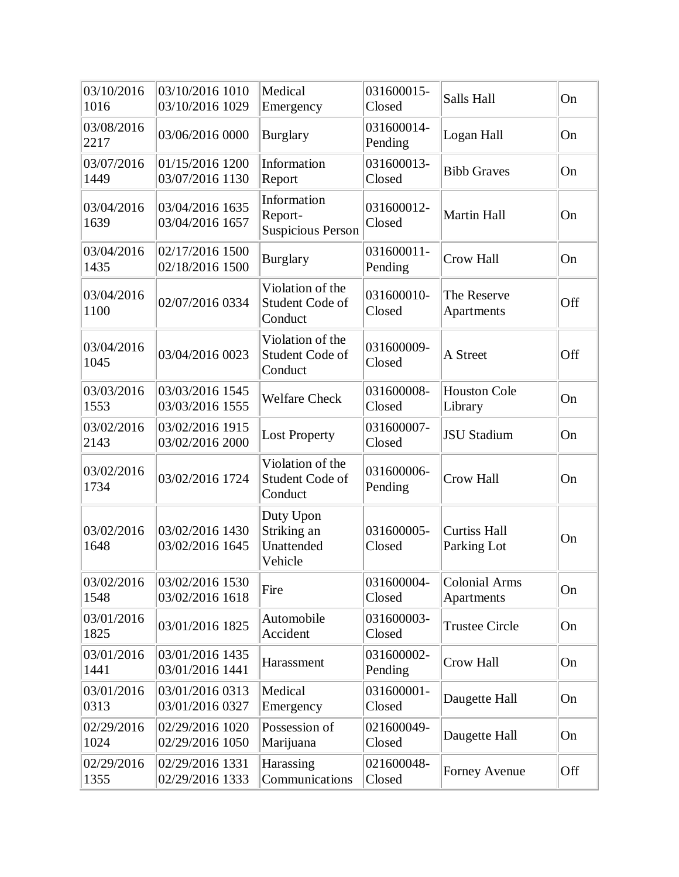| 03/10/2016<br>1016 | 03/10/2016 1010<br>03/10/2016 1029 | Medical<br>Emergency                               | 031600015-<br>Closed  | Salls Hall                         | On  |
|--------------------|------------------------------------|----------------------------------------------------|-----------------------|------------------------------------|-----|
| 03/08/2016<br>2217 | 03/06/2016 0000                    | <b>Burglary</b>                                    | 031600014-<br>Pending | Logan Hall                         | On  |
| 03/07/2016<br>1449 | 01/15/2016 1200<br>03/07/2016 1130 | Information<br>Report                              | 031600013-<br>Closed  | <b>Bibb Graves</b>                 | On  |
| 03/04/2016<br>1639 | 03/04/2016 1635<br>03/04/2016 1657 | Information<br>Report-<br><b>Suspicious Person</b> | 031600012-<br>Closed  | <b>Martin Hall</b>                 | On  |
| 03/04/2016<br>1435 | 02/17/2016 1500<br>02/18/2016 1500 | <b>Burglary</b>                                    | 031600011-<br>Pending | Crow Hall                          | On  |
| 03/04/2016<br>1100 | 02/07/2016 0334                    | Violation of the<br>Student Code of<br>Conduct     | 031600010-<br>Closed  | The Reserve<br>Apartments          | Off |
| 03/04/2016<br>1045 | 03/04/2016 0023                    | Violation of the<br>Student Code of<br>Conduct     | 031600009-<br>Closed  | A Street                           | Off |
| 03/03/2016<br>1553 | 03/03/2016 1545<br>03/03/2016 1555 | <b>Welfare Check</b>                               | 031600008-<br>Closed  | <b>Houston Cole</b><br>Library     | On  |
| 03/02/2016<br>2143 | 03/02/2016 1915<br>03/02/2016 2000 | Lost Property                                      | 031600007-<br>Closed  | <b>JSU Stadium</b>                 | On  |
| 03/02/2016<br>1734 | 03/02/2016 1724                    | Violation of the<br>Student Code of<br>Conduct     | 031600006-<br>Pending | <b>Crow Hall</b>                   | On  |
| 03/02/2016<br>1648 | 03/02/2016 1430<br>03/02/2016 1645 | Duty Upon<br>Striking an<br>Unattended<br>Vehicle  | 031600005-<br>Closed  | <b>Curtiss Hall</b><br>Parking Lot | On  |
| 03/02/2016<br>1548 | 03/02/2016 1530<br>03/02/2016 1618 | Fire                                               | 031600004-<br>Closed  | <b>Colonial Arms</b><br>Apartments | On  |
| 03/01/2016<br>1825 | 03/01/2016 1825                    | Automobile<br>Accident                             | 031600003-<br>Closed  | <b>Trustee Circle</b>              | On  |
| 03/01/2016<br>1441 | 03/01/2016 1435<br>03/01/2016 1441 | Harassment                                         | 031600002-<br>Pending | Crow Hall                          | On  |
| 03/01/2016<br>0313 | 03/01/2016 0313<br>03/01/2016 0327 | Medical<br>Emergency                               | 031600001-<br>Closed  | Daugette Hall                      | On  |
| 02/29/2016<br>1024 | 02/29/2016 1020<br>02/29/2016 1050 | Possession of<br>Marijuana                         | 021600049-<br>Closed  | Daugette Hall                      | On  |
| 02/29/2016<br>1355 | 02/29/2016 1331<br>02/29/2016 1333 | Harassing<br>Communications                        | 021600048-<br>Closed  | Forney Avenue                      | Off |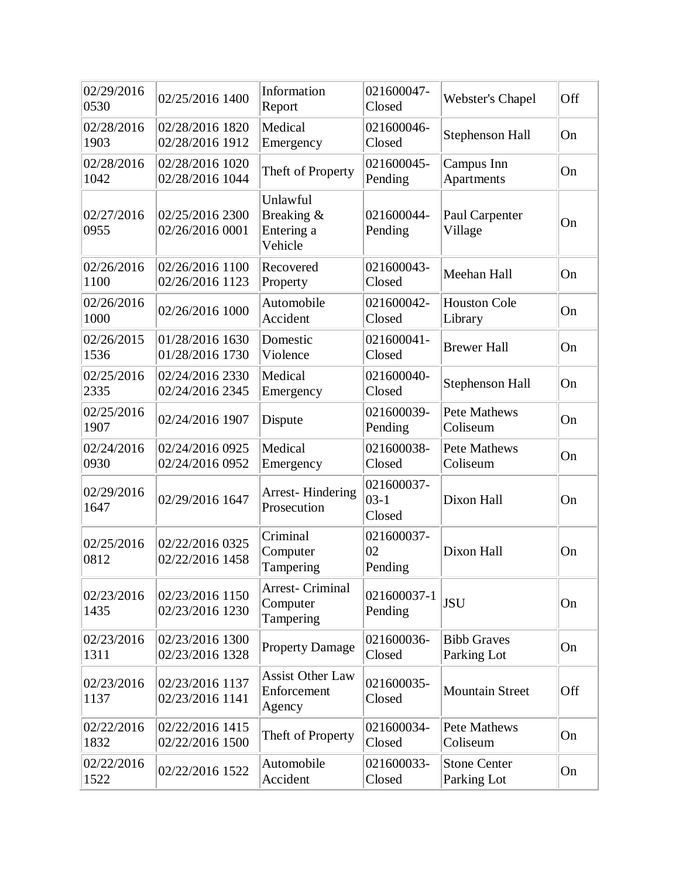| 02/29/2016<br>0530 | 02/25/2016 1400                    | Information<br>Report                            | 021600047-<br>Closed           | <b>Webster's Chapel</b>            | Off |
|--------------------|------------------------------------|--------------------------------------------------|--------------------------------|------------------------------------|-----|
| 02/28/2016<br>1903 | 02/28/2016 1820<br>02/28/2016 1912 | Medical<br>Emergency                             | 021600046-<br>Closed           | Stephenson Hall                    | On  |
| 02/28/2016<br>1042 | 02/28/2016 1020<br>02/28/2016 1044 | Theft of Property                                | 021600045-<br>Pending          | Campus Inn<br>Apartments           | On  |
| 02/27/2016<br>0955 | 02/25/2016 2300<br>02/26/2016 0001 | Unlawful<br>Breaking &<br>Entering a<br>Vehicle  | 021600044-<br>Pending          | Paul Carpenter<br>Village          | On  |
| 02/26/2016<br>1100 | 02/26/2016 1100<br>02/26/2016 1123 | Recovered<br>Property                            | 021600043-<br>Closed           | Meehan Hall                        | On  |
| 02/26/2016<br>1000 | 02/26/2016 1000                    | Automobile<br>Accident                           | 021600042-<br>Closed           | <b>Houston Cole</b><br>Library     | On  |
| 02/26/2015<br>1536 | 01/28/2016 1630<br>01/28/2016 1730 | Domestic<br>Violence                             | 021600041-<br>Closed           | <b>Brewer Hall</b>                 | On  |
| 02/25/2016<br>2335 | 02/24/2016 2330<br>02/24/2016 2345 | Medical<br>Emergency                             | 021600040-<br>Closed           | Stephenson Hall                    | On  |
| 02/25/2016<br>1907 | 02/24/2016 1907                    | Dispute                                          | 021600039-<br>Pending          | <b>Pete Mathews</b><br>Coliseum    | On  |
| 02/24/2016<br>0930 | 02/24/2016 0925<br>02/24/2016 0952 | Medical<br>Emergency                             | 021600038-<br>Closed           | <b>Pete Mathews</b><br>Coliseum    | On  |
| 02/29/2016<br>1647 | 02/29/2016 1647                    | <b>Arrest-Hindering</b><br>Prosecution           | 021600037-<br>$03-1$<br>Closed | Dixon Hall                         | On  |
| 02/25/2016<br>0812 | 02/22/2016 0325<br>02/22/2016 1458 | Criminal<br>Computer<br>Tampering                | 021600037-<br>02<br>Pending    | Dixon Hall                         | On  |
| 02/23/2016<br>1435 | 02/23/2016 1150<br>02/23/2016 1230 | Arrest- Criminal<br>Computer<br>Tampering        | 021600037-1<br>Pending         | <b>JSU</b>                         | On  |
| 02/23/2016<br>1311 | 02/23/2016 1300<br>02/23/2016 1328 | <b>Property Damage</b>                           | 021600036-<br>Closed           | <b>Bibb Graves</b><br>Parking Lot  | On  |
| 02/23/2016<br>1137 | 02/23/2016 1137<br>02/23/2016 1141 | <b>Assist Other Law</b><br>Enforcement<br>Agency | 021600035-<br>Closed           | <b>Mountain Street</b>             | Off |
| 02/22/2016<br>1832 | 02/22/2016 1415<br>02/22/2016 1500 | Theft of Property                                | 021600034-<br>Closed           | Pete Mathews<br>Coliseum           | On  |
| 02/22/2016<br>1522 | 02/22/2016 1522                    | Automobile<br>Accident                           | 021600033-<br>Closed           | <b>Stone Center</b><br>Parking Lot | On  |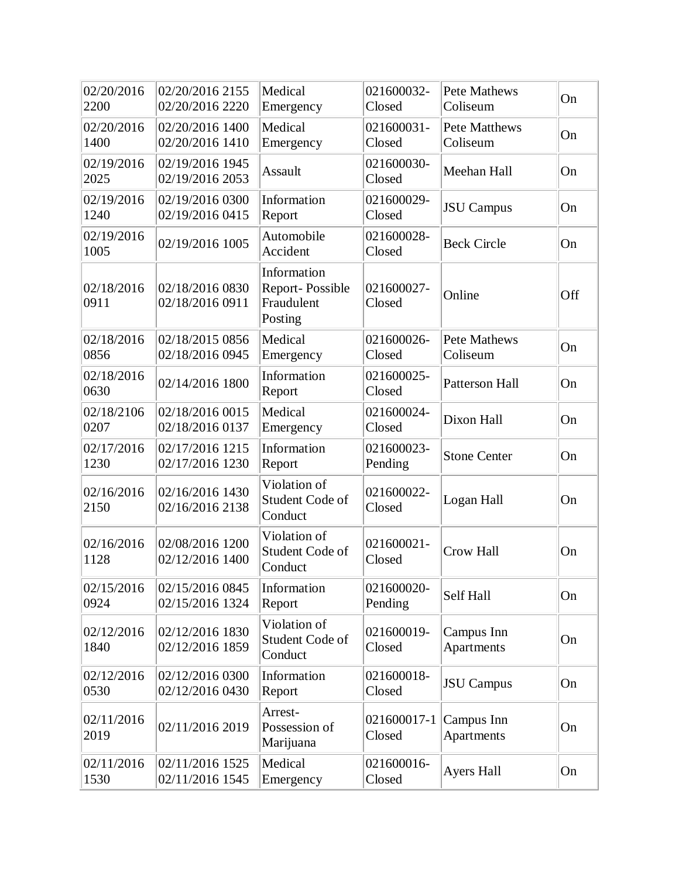| 02/20/2016<br>2200 | 02/20/2016 2155<br>02/20/2016 2220 | Medical<br>Emergency                                    | 021600032-<br>Closed  | <b>Pete Mathews</b><br>Coliseum  | On  |
|--------------------|------------------------------------|---------------------------------------------------------|-----------------------|----------------------------------|-----|
| 02/20/2016<br>1400 | 02/20/2016 1400<br>02/20/2016 1410 | Medical<br>Emergency                                    | 021600031-<br>Closed  | <b>Pete Matthews</b><br>Coliseum | On  |
| 02/19/2016<br>2025 | 02/19/2016 1945<br>02/19/2016 2053 | <b>Assault</b>                                          | 021600030-<br>Closed  | Meehan Hall                      | On  |
| 02/19/2016<br>1240 | 02/19/2016 0300<br>02/19/2016 0415 | Information<br>Report                                   | 021600029-<br>Closed  | <b>JSU</b> Campus                | On  |
| 02/19/2016<br>1005 | 02/19/2016 1005                    | Automobile<br>Accident                                  | 021600028-<br>Closed  | <b>Beck Circle</b>               | On  |
| 02/18/2016<br>0911 | 02/18/2016 0830<br>02/18/2016 0911 | Information<br>Report-Possible<br>Fraudulent<br>Posting | 021600027-<br>Closed  | Online                           | Off |
| 02/18/2016<br>0856 | 02/18/2015 0856<br>02/18/2016 0945 | Medical<br>Emergency                                    | 021600026-<br>Closed  | <b>Pete Mathews</b><br>Coliseum  | On  |
| 02/18/2016<br>0630 | 02/14/2016 1800                    | Information<br>Report                                   | 021600025-<br>Closed  | <b>Patterson Hall</b>            | On  |
| 02/18/2106<br>0207 | 02/18/2016 0015<br>02/18/2016 0137 | Medical<br>Emergency                                    | 021600024-<br>Closed  | Dixon Hall                       | On  |
| 02/17/2016<br>1230 | 02/17/2016 1215<br>02/17/2016 1230 | Information<br>Report                                   | 021600023-<br>Pending | <b>Stone Center</b>              | On  |
| 02/16/2016<br>2150 | 02/16/2016 1430<br>02/16/2016 2138 | Violation of<br>Student Code of<br>Conduct              | 021600022-<br>Closed  | Logan Hall                       | On  |
| 02/16/2016<br>1128 | 02/08/2016 1200<br>02/12/2016 1400 | Violation of<br>Student Code of<br>Conduct              | 021600021-<br>Closed  | <b>Crow Hall</b>                 | On  |
| 02/15/2016<br>0924 | 02/15/2016 0845<br>02/15/2016 1324 | Information<br>Report                                   | 021600020-<br>Pending | Self Hall                        | On  |
| 02/12/2016<br>1840 | 02/12/2016 1830<br>02/12/2016 1859 | Violation of<br>Student Code of<br>Conduct              | 021600019-<br>Closed  | Campus Inn<br>Apartments         | On  |
| 02/12/2016<br>0530 | 02/12/2016 0300<br>02/12/2016 0430 | Information<br>Report                                   | 021600018-<br>Closed  | <b>JSU</b> Campus                | On  |
| 02/11/2016<br>2019 | 02/11/2016 2019                    | Arrest-<br>Possession of<br>Marijuana                   | 021600017-1<br>Closed | Campus Inn<br>Apartments         | On  |
| 02/11/2016<br>1530 | 02/11/2016 1525<br>02/11/2016 1545 | Medical<br>Emergency                                    | 021600016-<br>Closed  | <b>Ayers Hall</b>                | On  |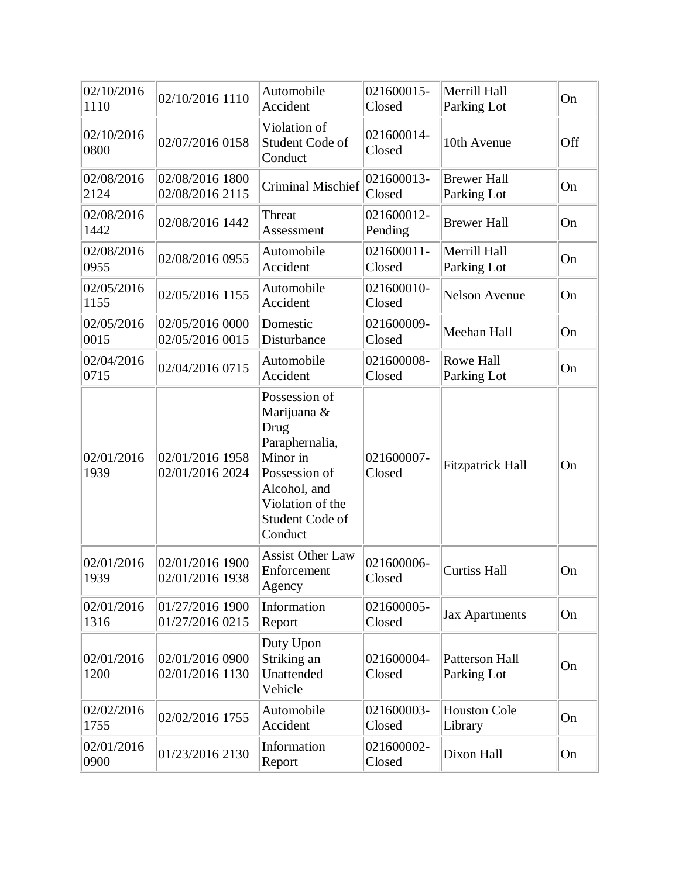| 02/10/2016<br>1110 | 02/10/2016 1110                    | Automobile<br>Accident                                                                                                                                       | 021600015-<br>Closed  | Merrill Hall<br>Parking Lot       | On  |
|--------------------|------------------------------------|--------------------------------------------------------------------------------------------------------------------------------------------------------------|-----------------------|-----------------------------------|-----|
| 02/10/2016<br>0800 | 02/07/2016 0158                    | Violation of<br>Student Code of<br>Conduct                                                                                                                   | 021600014-<br>Closed  | 10th Avenue                       | Off |
| 02/08/2016<br>2124 | 02/08/2016 1800<br>02/08/2016 2115 | <b>Criminal Mischief</b>                                                                                                                                     | 021600013-<br>Closed  | <b>Brewer Hall</b><br>Parking Lot | On  |
| 02/08/2016<br>1442 | 02/08/2016 1442                    | Threat<br>Assessment                                                                                                                                         | 021600012-<br>Pending | <b>Brewer Hall</b>                | On  |
| 02/08/2016<br>0955 | 02/08/2016 0955                    | Automobile<br>Accident                                                                                                                                       | 021600011-<br>Closed  | Merrill Hall<br>Parking Lot       | On  |
| 02/05/2016<br>1155 | 02/05/2016 1155                    | Automobile<br>Accident                                                                                                                                       | 021600010-<br>Closed  | <b>Nelson Avenue</b>              | On  |
| 02/05/2016<br>0015 | 02/05/2016 0000<br>02/05/2016 0015 | Domestic<br>Disturbance                                                                                                                                      | 021600009-<br>Closed  | Meehan Hall                       | On  |
| 02/04/2016<br>0715 | 02/04/2016 0715                    | Automobile<br>Accident                                                                                                                                       | 021600008-<br>Closed  | Rowe Hall<br>Parking Lot          | On  |
| 02/01/2016<br>1939 | 02/01/2016 1958<br>02/01/2016 2024 | Possession of<br>Marijuana &<br>Drug<br>Paraphernalia,<br>Minor in<br>Possession of<br>Alcohol, and<br>Violation of the<br><b>Student Code of</b><br>Conduct | 021600007-<br>Closed  | <b>Fitzpatrick Hall</b>           | On  |
| 02/01/2016<br>1939 | 02/01/2016 1900<br>02/01/2016 1938 | <b>Assist Other Law</b><br>Enforcement<br>Agency                                                                                                             | 021600006-<br>Closed  | <b>Curtiss Hall</b>               | On  |
| 02/01/2016<br>1316 | 01/27/2016 1900<br>01/27/2016 0215 | Information<br>Report                                                                                                                                        | 021600005-<br>Closed  | <b>Jax Apartments</b>             | On  |
| 02/01/2016<br>1200 | 02/01/2016 0900<br>02/01/2016 1130 | Duty Upon<br>Striking an<br>Unattended<br>Vehicle                                                                                                            | 021600004-<br>Closed  | Patterson Hall<br>Parking Lot     | On  |
| 02/02/2016<br>1755 | 02/02/2016 1755                    | Automobile<br>Accident                                                                                                                                       | 021600003-<br>Closed  | <b>Houston Cole</b><br>Library    | On  |
| 02/01/2016<br>0900 | 01/23/2016 2130                    | Information<br>Report                                                                                                                                        | 021600002-<br>Closed  | Dixon Hall                        | On  |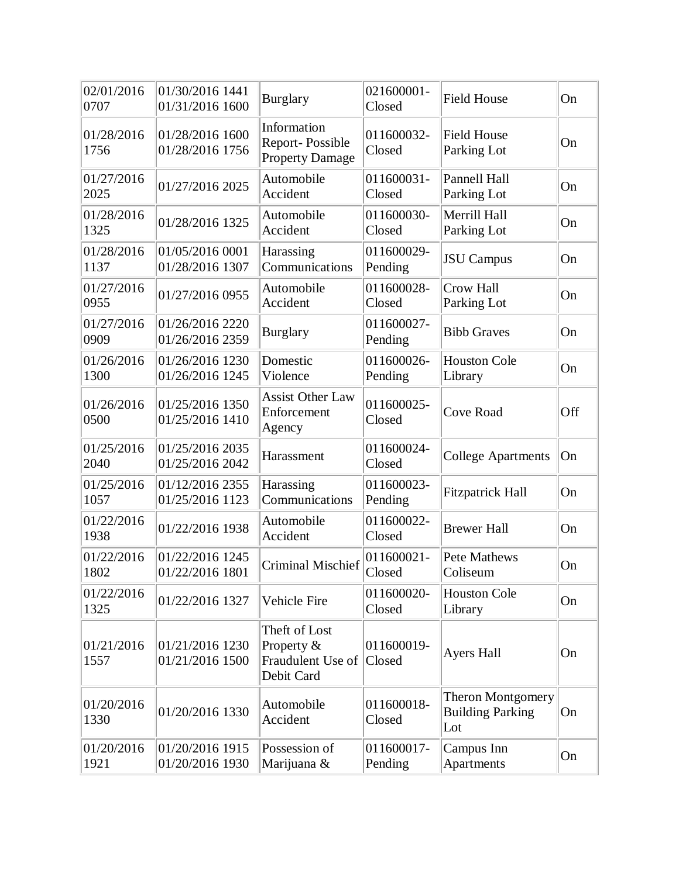| 02/01/2016<br>0707 | 01/30/2016 1441<br>01/31/2016 1600 | <b>Burglary</b>                                                | 021600001-<br>Closed  | <b>Field House</b>                                         | On  |
|--------------------|------------------------------------|----------------------------------------------------------------|-----------------------|------------------------------------------------------------|-----|
| 01/28/2016<br>1756 | 01/28/2016 1600<br>01/28/2016 1756 | Information<br>Report-Possible<br><b>Property Damage</b>       | 011600032-<br>Closed  | <b>Field House</b><br>Parking Lot                          | On  |
| 01/27/2016<br>2025 | 01/27/2016 2025                    | Automobile<br>Accident                                         | 011600031-<br>Closed  | Pannell Hall<br>Parking Lot                                | On  |
| 01/28/2016<br>1325 | 01/28/2016 1325                    | Automobile<br>Accident                                         | 011600030-<br>Closed  | Merrill Hall<br>Parking Lot                                | On  |
| 01/28/2016<br>1137 | 01/05/2016 0001<br>01/28/2016 1307 | Harassing<br>Communications                                    | 011600029-<br>Pending | <b>JSU</b> Campus                                          | On  |
| 01/27/2016<br>0955 | 01/27/2016 0955                    | Automobile<br>Accident                                         | 011600028-<br>Closed  | Crow Hall<br>Parking Lot                                   | On  |
| 01/27/2016<br>0909 | 01/26/2016 2220<br>01/26/2016 2359 | <b>Burglary</b>                                                | 011600027-<br>Pending | <b>Bibb Graves</b>                                         | On  |
| 01/26/2016<br>1300 | 01/26/2016 1230<br>01/26/2016 1245 | Domestic<br>Violence                                           | 011600026-<br>Pending | <b>Houston Cole</b><br>Library                             | On  |
| 01/26/2016<br>0500 | 01/25/2016 1350<br>01/25/2016 1410 | <b>Assist Other Law</b><br>Enforcement<br>Agency               | 011600025-<br>Closed  | <b>Cove Road</b>                                           | Off |
| 01/25/2016<br>2040 | 01/25/2016 2035<br>01/25/2016 2042 | Harassment                                                     | 011600024-<br>Closed  | <b>College Apartments</b>                                  | On  |
| 01/25/2016<br>1057 | 01/12/2016 2355<br>01/25/2016 1123 | Harassing<br>Communications                                    | 011600023-<br>Pending | <b>Fitzpatrick Hall</b>                                    | On  |
| 01/22/2016<br>1938 | 01/22/2016 1938                    | Automobile<br>Accident                                         | 011600022-<br>Closed  | <b>Brewer Hall</b>                                         | On  |
| 01/22/2016<br>1802 | 01/22/2016 1245<br>01/22/2016 1801 | <b>Criminal Mischief</b>                                       | 011600021-<br>Closed  | Pete Mathews<br>Coliseum                                   | On  |
| 01/22/2016<br>1325 | 01/22/2016 1327                    | Vehicle Fire                                                   | 011600020-<br>Closed  | <b>Houston Cole</b><br>Library                             | On  |
| 01/21/2016<br>1557 | 01/21/2016 1230<br>01/21/2016 1500 | Theft of Lost<br>Property &<br>Fraudulent Use of<br>Debit Card | 011600019-<br>Closed  | <b>Ayers Hall</b>                                          | On  |
| 01/20/2016<br>1330 | 01/20/2016 1330                    | Automobile<br>Accident                                         | 011600018-<br>Closed  | <b>Theron Montgomery</b><br><b>Building Parking</b><br>Lot | On  |
| 01/20/2016<br>1921 | 01/20/2016 1915<br>01/20/2016 1930 | Possession of<br>Marijuana &                                   | 011600017-<br>Pending | Campus Inn<br>Apartments                                   | On  |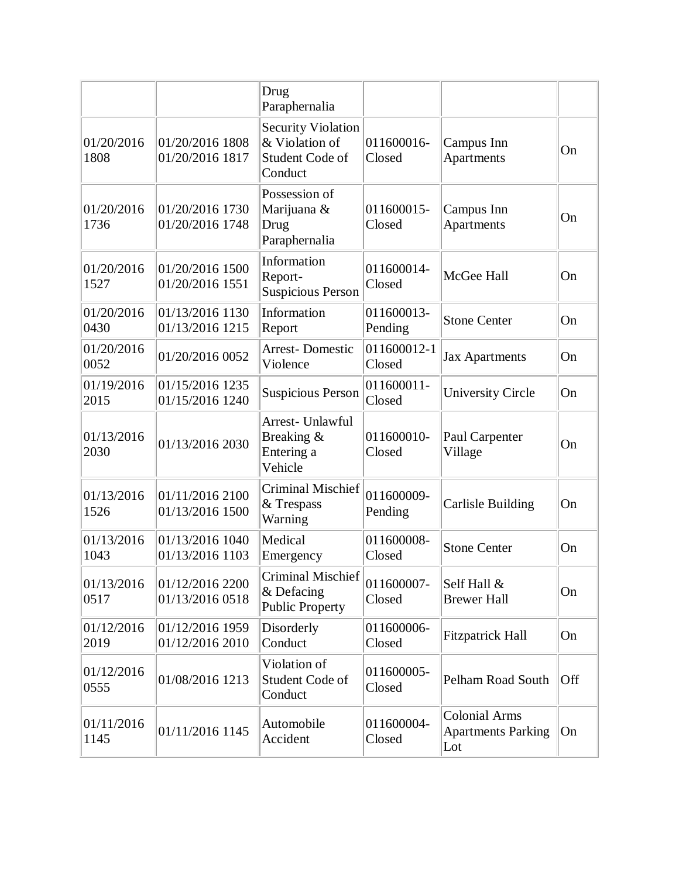|                    |                                    | Drug<br>Paraphernalia                                                     |                       |                                                          |     |
|--------------------|------------------------------------|---------------------------------------------------------------------------|-----------------------|----------------------------------------------------------|-----|
| 01/20/2016<br>1808 | 01/20/2016 1808<br>01/20/2016 1817 | <b>Security Violation</b><br>& Violation of<br>Student Code of<br>Conduct | 011600016-<br>Closed  | Campus Inn<br>Apartments                                 | On  |
| 01/20/2016<br>1736 | 01/20/2016 1730<br>01/20/2016 1748 | Possession of<br>Marijuana &<br>Drug<br>Paraphernalia                     | 011600015-<br>Closed  | Campus Inn<br>Apartments                                 | On  |
| 01/20/2016<br>1527 | 01/20/2016 1500<br>01/20/2016 1551 | Information<br>Report-<br>Suspicious Person                               | 011600014-<br>Closed  | McGee Hall                                               | On  |
| 01/20/2016<br>0430 | 01/13/2016 1130<br>01/13/2016 1215 | Information<br>Report                                                     | 011600013-<br>Pending | <b>Stone Center</b>                                      | On  |
| 01/20/2016<br>0052 | 01/20/2016 0052                    | <b>Arrest-Domestic</b><br>Violence                                        | 011600012-1<br>Closed | <b>Jax Apartments</b>                                    | On  |
| 01/19/2016<br>2015 | 01/15/2016 1235<br>01/15/2016 1240 | <b>Suspicious Person</b>                                                  | 011600011-<br>Closed  | <b>University Circle</b>                                 | On  |
| 01/13/2016<br>2030 | 01/13/2016 2030                    | Arrest- Unlawful<br>Breaking &<br>Entering a<br>Vehicle                   | 011600010-<br>Closed  | Paul Carpenter<br>Village                                | On  |
| 01/13/2016<br>1526 | 01/11/2016 2100<br>01/13/2016 1500 | <b>Criminal Mischief</b><br>& Trespass<br>Warning                         | 011600009-<br>Pending | <b>Carlisle Building</b>                                 | On  |
| 01/13/2016<br>1043 | 01/13/2016 1040<br>01/13/2016 1103 | Medical<br>Emergency                                                      | 011600008-<br>Closed  | <b>Stone Center</b>                                      | On  |
| 01/13/2016<br>0517 | 01/12/2016 2200<br>01/13/2016 0518 | Criminal Mischief<br>& Defacing<br><b>Public Property</b>                 | 011600007-<br>Closed  | Self Hall &<br><b>Brewer Hall</b>                        | On  |
| 01/12/2016<br>2019 | 01/12/2016 1959<br>01/12/2016 2010 | Disorderly<br>Conduct                                                     | 011600006-<br>Closed  | <b>Fitzpatrick Hall</b>                                  | On  |
| 01/12/2016<br>0555 | 01/08/2016 1213                    | Violation of<br>Student Code of<br>Conduct                                | 011600005-<br>Closed  | <b>Pelham Road South</b>                                 | Off |
| 01/11/2016<br>1145 | 01/11/2016 1145                    | Automobile<br>Accident                                                    | 011600004-<br>Closed  | <b>Colonial Arms</b><br><b>Apartments Parking</b><br>Lot | On  |